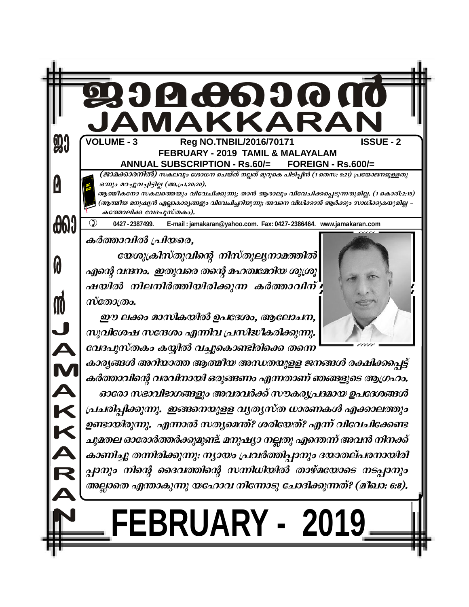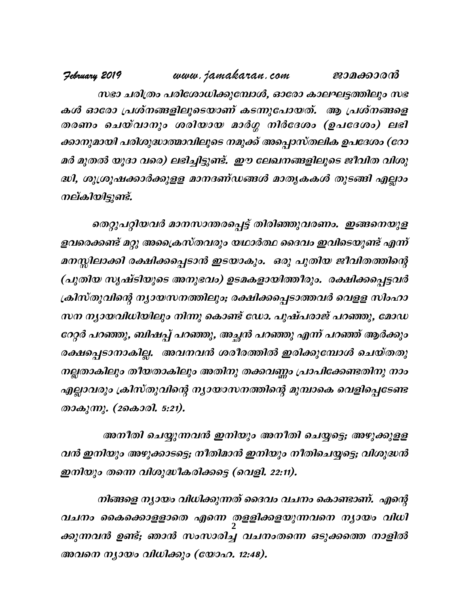www.jamakaran.com February 2019 ജാമക്കാരൻ സഭാ ചരിത്രം പരിശോധിക്കുമ്പോൾ, ഓരോ കാലഘട്ടത്തിലും സഭ കൾ ഓരോ പ്രശ്നങ്ങളിലൂടെയാണ് കടന്നുപോയത്. ആ പ്രശ്നങ്ങളെ തരണം ചെയ്വാനും ശരിയായ മാർഗ്ഗ നിർദേശം (ഉപദേശം) ലഭി ക്കാനുമായി പരിശുദ്ധാത്മാവിലൂടെ നമുക്ക് അപ്പൊസ്തലിക ഉപദേശം (റോ മർ മുതൽ യൂദാ വരെ) ലഭിച്ചിട്ടുണ്ട്. ഈ ലേഖനങ്ങളിലൂടെ ജീവിത വിശു ദ്ധി, ശുശ്രൂഷക്കാർക്കുളള മാനദണ്ഡങ്ങൾ മാതൃകകൾ തുടങ്ങി എല്ലാം നല്കിയിട്ടുണ്ട്.

തെറ്റുപറ്റിയവർ മാനസാന്തരപ്പെട്ട് തിരിഞ്ഞുവരണം. ഇങ്ങനെയുള ളവരെക്കണ്ട് മറ്റു അപ്രൈസ്തവരും യഥാർത്ഥ ദൈവം ഇവിടെയുണ്ട് എന്ന് മനസ്സിലാക്കി രക്ഷിക്കപ്പെടാൻ ഇടയാകും. ഒരു പുതിയ ജീവിതത്തിന്റെ (പുതിയ സൃഷ്ടിയുടെ അനുഭവം) ഉടമകളായിത്തീരും. രക്ഷിക്കപ്പെട്ടവർ ക്രിസ്തുവിന്റെ ന്യായസനത്തിലും; രക്ഷിക്കപ്പെടാത്തവർ വെളള സിംഹാ സന ന്യായവിധിയിലും നിന്നു കൊണ്ട് ഡോ. പുഷ്പരാജ് പറഞ്ഞു, മോഡ റേറ്റർ പറഞ്ഞു, ബിഷപ്പ് പറഞ്ഞു, അച്ഛൻ പറഞ്ഞു എന്ന് പറഞ്ഞ് ആർക്കും രക്ഷപ്പെടാനാകില്ല. അവനവൻ ശരീരത്തിൽ ഇരിക്കുമ്പോൾ ചെയ്തതു നല്ലതാകിലും തീയതാകിലും അതിനു തക്കവണ്ണം പ്രാപിക്കേണ്ടതിനു നാം എല്ലാവരും ക്രിസ്തുവിന്റെ ന്യായാസനത്തിന്റെ മുമ്പാകെ വെളിപ്പെടേണ്ട താകുന്നു. (2കൊരി. 5:21).

അനീതി ചെയ്യുന്നവൻ ഇനിയും അനീതി ചെയ്യട്ടെ; അഴുക്കുളള വൻ ഇനിയും അഴുക്കാടട്ടെ; നീതിമാൻ ഇനിയും നീതിചെയ്യട്ടെ; വിശുദ്ധൻ ഇനിയും തന്നെ വിശുദ്ധീകരിക്കട്ടെ (വെളി. 22:11).

നിങ്ങളെ ന്യായം വിധിക്കുന്നത് ദൈവം വചനം കൊണ്ടാണ്. എന്റെ വചനം കൈക്കൊളളാതെ എന്നെ തളളിക്കളയുന്നവനെ ന്യായം വിധി ക്കുന്നവൻ ഉണ്ട്; ഞാൻ സംസാരിച്ച വചനംതന്നെ ഒടുക്കത്തെ നാളിൽ അവനെ ന്യായം വിധിക്കും (യോഹ. 12:48).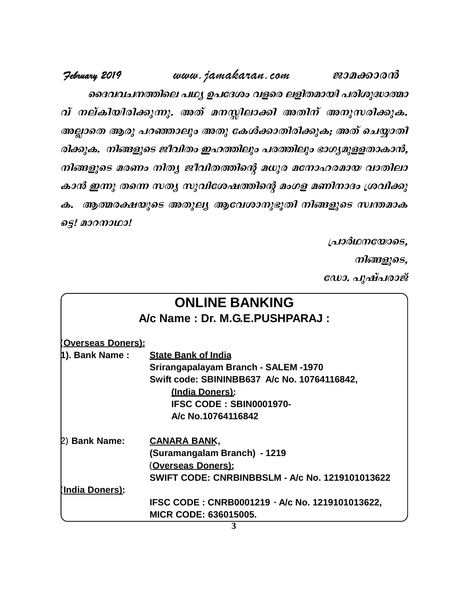February 2019 www.jamakaran.com ജാമക്കാരൻ ദൈവവചനത്തിലെ പഥ്യ ഉപദേശം വളരെ ലളിതമായി പരിശുദ്ധാത്മാ വ് നല്കിയിരിക്കുന്നു. അത് മനസ്സിലാക്കി അതിന് അനുസരിക്കുക. അല്ലാതെ ആരു പറഞ്ഞാലും അതു കേൾക്കാതിരിക്കുക; അത് ചെയ്യാതി രിക്കുക. നിങ്ങളുടെ ജീവിതം ഇഹത്തിലും പരത്തിലും ഭാഗ്യമുളളതാകാൻ, നിങ്ങളുടെ മരണം നിതൃ ജീവിതത്തിന്റെ മധുര മനോഹരമായ വാതിലാ കാൻ ഇന്നു തന്നെ സത്യ സുവിശേഷത്തിന്റെ മംഗള മണിനാദം ശ്രവിക്കു ക. ആത്മരക്ഷയുടെ അതുല്യ ആവേശാനുഭൂതി നിങ്ങളുടെ സ്ഥതമാക ട്ടെ! മാറനാഥാ!

പ്രാർഥനയോടെ,

നിങ്ങളുടെ,

ഡോ. പുഷ്പരാജ്

|                           | <b>ONLINE BANKING</b>                                  |
|---------------------------|--------------------------------------------------------|
|                           | A/c Name: Dr. M.G.E.PUSHPARAJ:                         |
| <u>(Overseas Doners):</u> |                                                        |
| 1). Bank Name :           | <b>State Bank of India</b>                             |
|                           | Srirangapalayam Branch - SALEM -1970                   |
|                           | Swift code: SBININBB637 A/c No. 10764116842,           |
|                           | (India Doners):                                        |
|                           | IFSC CODE: SBIN0001970-                                |
|                           | A/c No.10764116842                                     |
| 2) Bank Name:             | <b>CANARA BANK,</b>                                    |
|                           | (Suramangalam Branch) - 1219                           |
|                           | <u>(Overseas Doners):</u>                              |
|                           | <b>SWIFT CODE: CNRBINBBSLM - A/c No. 1219101013622</b> |
| <u>(India Doners):</u>    |                                                        |
|                           | IFSC CODE: CNRB0001219 - A/c No. 1219101013622,        |
|                           | <b>MICR CODE: 636015005.</b>                           |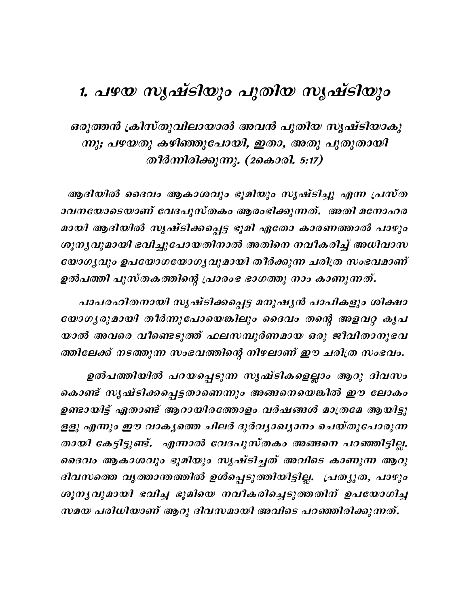# 1. പഴയ സൃഷ്ടിയും പുതിയ സൃഷ്ടിയും

ഒരുത്തൻ ക്രിസ്തുവിലായാൽ അവൻ പുതിയ സൃഷ്ടിയാകു ന്നു; പഴയതു കഴിഞ്ഞുപോയി, ഇതാ, അതു പുതുതായി തീർന്നിരിക്കുന്നു. (2കൊരി. 5:17)

ആദിയിൽ ദൈവം ആകാശവും ഭൂമിയും സൃഷ്ടിച്ചു എന്ന പ്രസ്ത ാവനയോടെയാണ് വേദപുസ്തകം ആരംഭിക്കുന്നത്. അതി മനോഹര മായി ആദിയിൽ സൃഷ്ടിക്കപ്പെട്ട ഭൂമി ഏതോ കാരണത്താൽ പാഴും ശൂന്യവുമായി ഭവിച്ചുപോയതിനാൽ അതിനെ നവീകരിച്ച് അധിവാസ യോഗൃവും ഉപയോഗയോഗൃവുമായി തീർക്കുന്ന ചരിത്ര സംഭവമാണ് ഉൽപത്തി പുസ്തകത്തിന്റെ പ്രാരംഭ ഭാഗത്തു നാം കാണുന്നത്.

പാപരഹിതനായി സൃഷ്ടിക്കപ്പെട്ട മനുഷൃൻ പാപികളും ശിക്ഷാ യോഗൃരുമായി തീർന്നുപോയെങ്കിലും ദൈവം തന്റെ അളവറ്റ കൃപ യാൽ അവരെ വീണ്ടെടുത്ത് ഫലസമ്പൂർണമായ ഒരു ജീവിതാനുഭവ ത്തിലേക്ക് നടത്തുന്ന സംഭവത്തിന്റെ നിഴലാണ് ഈ ചരിത്ര സംഭവം.

ഉൽപത്തിയിൽ പറയപ്പെടുന്ന സൃഷ്ടികളെല്ലാം ആറു ദിവസം കൊണ്ട് സൃഷ്ടിക്കപ്പെട്ടതാണെന്നും അങ്ങനെയെങ്കിൽ ഈ ലോകം ഉണ്ടായിട്ട് ഏതാണ്ട് ആറായിരത്തോളം വർഷങ്ങൾ മാത്രമേ ആയിട്ടു ളളൂ എന്നും ഈ വാകൃത്തെ ചിലർ ദുർവ്യാഖ്യാനം ചെയ്തുപോരുന്ന തായി കേട്ടിട്ടുണ്ട്. എന്നാൽ വേദപുസ്തകം അങ്ങനെ പറഞ്ഞിട്ടില്ല. ദൈവം ആകാശവും ഭൂമിയും സൃഷ്ടിച്ചത് അവിടെ കാണുന്ന ആറു ദിവസത്തെ വൃത്താന്തത്തിൽ ഉൾപ്പെടുത്തിയിട്ടില്ല. പ്രത്യുത, പാഴും ശുന്യവുമായി ഭവിച്ച ഭൂമിയെ നവീകരിച്ചെടുത്തതിന് ഉപയോഗിച്ച സമയ പരിധിയാണ് ആറു ദിവസമായി അവിടെ പറഞ്ഞിരിക്കുന്നത്.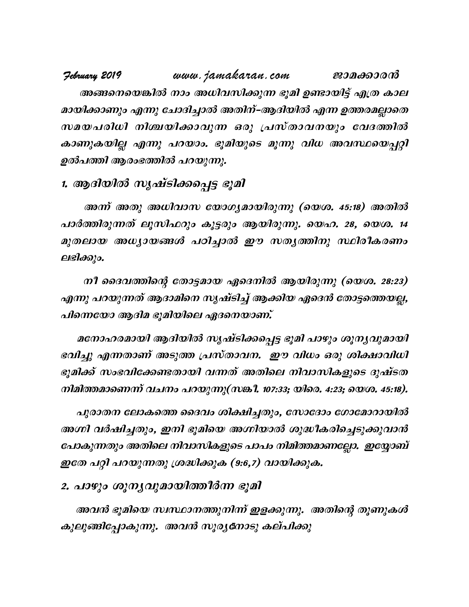www.jamakaran.com Jebruary 2019 ജാമക്കാരൻ അങ്ങനെയെങ്കിൽ നാം അധിവസിക്കുന്ന ഭൂമി ഉണ്ടായിട്ട് എത്ര കാല മായിക്കാണും എന്നു ചോദിച്ചാൽ അതിന്–ആദിയിൽ എന്ന ഉത്തരമല്ലാതെ സമയപരിധി നിശ്ചയിക്കാവുന്ന ഒരു പ്രസ്താവനയും വേദത്തിൽ കാണുകയില്ല എന്നു പറയാം. ഭൂമിയുടെ മൂന്നു വിധ അവസ്ഥയെപ്പറ്റി ഉൽപത്തി ആരംഭത്തിൽ പറയുന്നു.

### 1. ആദിയിൽ സൃഷ്ടിക്കപ്പെട്ട ഭൂമി

അന്ന് അതു അധിവാസ യോഗ്യമായിരുന്നു (യെശ. 45:18) അതിൽ പാർത്തിരുന്നത് ലൂസിഫറും കൂട്ടരും ആയിരുന്നു. യെഹ. 28, യെശ. 14 മുതലായ അധ്യായങ്ങൾ പഠിച്ചാൽ ഈ സത്യത്തിനു സ്ഥിരീകരണം ലഭിക്കും.

നീ ദൈവത്തിന്റെ തോട്ടമായ ഏദെനിൽ ആയിരുന്നു (യെശ. 28:23) എന്നു പറയുന്നത് ആദാമിനെ സൃഷ്ടിച്ച് ആക്കിയ ഏദെൻ തോട്ടത്തെയല്ല, പിന്നെയോ ആദിമ ഭൂമിയിലെ ഏദനെയാണ്.

മനോഹരമായി ആദിയിൽ സൃഷ്ടിക്കപ്പെട്ട ഭൂമി പാഴും ശൂന്യവുമായി ഭവിച്ചു എന്നതാണ് അടുത്ത പ്രസ്താവന. ഈ വിധം ഒരു ശിക്ഷാവിധി ഭൂമിക്ക് സംഭവിക്കേണ്ടതായി വന്നത് അതിലെ നിവാസികളുടെ ദുഷ്ടത നിമിത്തമാണെന്ന് വചനം പറയുന്നു(സങ്കി. 107:33; യിരെ. 4:23; യെശ. 45:18).

പുരാതന ലോകത്തെ ദൈവം ശിക്ഷിച്ചതും, സോദോം ഗോമോറായിൽ അഗ്നി വർഷിച്ചതും, ഇനി ഭൂമിയെ അഗ്നിയാൽ ശുദ്ധീകരിച്ചെടുക്കുവാൻ പോകുന്നതും അതിലെ നിവാസികളുടെ പാപം നിമിത്തമാണല്ലോ. ഇയ്യോബ് ഇതേ പറ്റി പറയുന്നതു ശ്രദ്ധിക്കുക (9:6,7) വായിക്കുക.

## 2. പാഴും ശൂന്യവുമായിത്തീർന്ന ഭൂമി

അവൻ ഭൂമിയെ സ്ഥാനത്തുനിന്ന് ഇളക്കുന്നു. അതിന്റെ തൂണുകൾ കുലുങ്ങിപ്പോകുന്നു. അവൻ സൂരൃനോടു കല്പിക്കു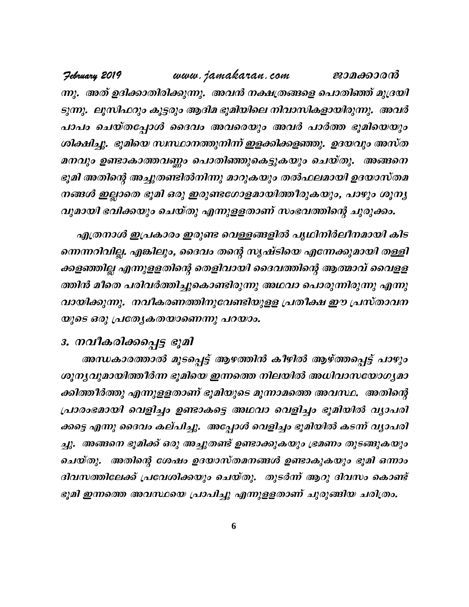www.jamakaran.com Jebruary 2019 ജാമക്കാരൻ ന്നു. അത് ഉദിക്കാതിരിക്കുന്നു. അവൻ നക്ഷത്രങ്ങളെ പൊതിഞ്ഞ് മുദ്രയി ടുന്നു. ലൂസിഫറും കൂട്ടരും ആദിമ ഭൂമിയിലെ നിവാസികളായിരുന്നു. അവർ പാപം ചെയ്തപ്പോൾ ദൈവം അവരെയും അവർ പാർത്ത ഭൂമിയെയും ശിക്ഷിച്ചു. ഭൂമിയെ സസ്ഥാനത്തുനിന്ന് ഇളക്കിക്കളഞ്ഞു. ഉദയവും അസ്ത മനവും ഉണ്ടാകാത്തവണ്ണം പൊതിഞ്ഞുകെട്ടുകയും ചെയ്തു. അങ്ങനെ ഭൂമി അതിന്റെ അച്ചുതണ്ടിൽനിന്നു മാറുകയും തൽഫലമായി ഉദയാസ്തമ നങ്ങൾ ഇല്ലാതെ ഭൂമി ഒരു ഇരുണ്ടഗോളമായിത്തീരുകയും, പാഴും ശൂന്യ വുമായി ഭവിക്കയും ചെയ്തു എന്നുളളതാണ് സംഭവത്തിന്റെ ചുരുക്കം.

എത്രനാൾ ഇപ്രകാരം ഇരുണ്ട വെള്ളങ്ങളിൽ പൃഥിനിർലീനമായി കിട ന്നെന്നറിവില്ല. എങ്കിലും, ദൈവം തന്റെ സൃഷ്ടിയെ എന്നേക്കുമായി തള്ളി ക്കളഞ്ഞില്ല എന്നുളളതിന്റെ തെളിവായി ദൈവത്തിന്റെ ആത്മാവ് വൈളള ത്തിൻ മീതെ പരിവർത്തിച്ചുകൊണ്ടിരുന്നു അഥവാ പൊരുന്നിരുന്നു എന്നു വായിക്കുന്നു. നവീകരണത്തിനുവേണ്ടിയുളള പ്രതീക്ഷ ഈ പ്രസ്താവന യുടെ ഒരു പ്രത്യേകതയാണെന്നു പറയാം.

#### 3. നവീകരിക്കപ്പെട്ട ഭൂമി

അന്ധകാരത്താൽ മൂടപ്പെട്ട് ആഴത്തിൻ കീഴിൽ ആഴ്ത്തപ്പെട്ട് പാഴും ശൂന്യവുമായിത്തീർന്ന ഭൂമിയെ ഇന്നത്തെ നിലയിൽ അധിവാസയോഗ്യമാ ക്കിത്തീർത്തു എന്നുളളതാണ് ഭൂമിയുടെ മൂന്നാമത്തെ അവസ്ഥ. അതിന്റെ പ്രാരംഭമായി വെളിച്ചം ഉണ്ടാകട്ടെ അഥവാ വെളിച്ചം ഭൂമിയിൽ വ്യാപരി ക്കട്ടെ എന്നു ദൈവം കല്പിച്ചു. അപ്പോൾ വെളിച്ചം ഭൂമിയിൽ കടന്ന് വ്യാപരി ച്ചു. അങ്ങനെ ഭൂമിക്ക് ഒരു അച്ചുതണ്ട് ഉണ്ടാക്കുകയും ഭ്രമണം തുടങ്ങുകയും ചെയ്തു. അതിന്റെ ശേഷം ഉദയാസ്തമനങ്ങൾ ഉണ്ടാകുകയും ഭൂമി ഒന്നാം ദിവസത്തിലേക്ക് പ്രവേശിക്കയും ചെയ്തു. തുടർന്ന് ആറു ദിവസം കൊണ്ട് ഭൂമി ഇന്നത്തെ അവസ്ഥയെ പ്രാപിച്ചു എന്നുളളതാണ് ചുരുങ്ങിയ ചരിത്രം.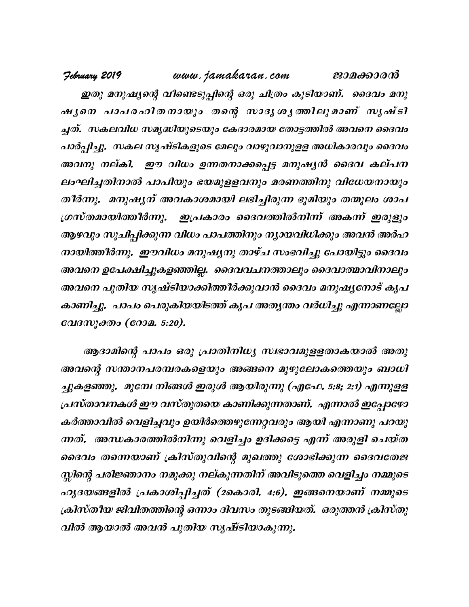**February 2019** www.jamakaran.com **Pma¡mc³** ഇതു മനുഷ്യന്റെ വീണ്ടെടുപ്പിന്റെ ഒരു ചിത്രം കൂടിയാണ്. ദൈവം മനു ഷുനെ പാപരഹിത നായും തന്റെ സാദൃ ശൃത്തിലുമാണ് സൃഷ്ടി<br>ച്ചത്. സകലവിധ സമൃദ്ധിയുടെയും കേദാരമായ തോട്ടത്തിൽ അവനെ ദൈവം *ip 3 - 4009 www.jamakaran.com ജാമക്കാരൻ*<br>"ഇതു മനുഷ്യന്റെ വീണ്ടെടുപ്പിന്റെ ഒരു ചിത്രം കൂടിയാണ്. ദൈവം മനു<br>ഷ്യനെ പാപരഹിത നായും തന്റെ സാദൃശ്യത്തിലുമാണ് സൃഷ്ടി<br>ചത്. സകലവിധ സമൃദ്ധിയുടെയും കേദാരമായ തോട്ടത്തിൽ അവനെ ദൈവം<br>പാർപ്പിച പാർപ്പിച്ചു. സകല സൃഷ്ടികളുടെ മേലും വാഴുവാനുളള അധികാരവും ദൈവം ഷുനെ ചാപരഹിതനായും തന്റെ സാദൃശൃത്തിലുമാണ് സൃഷ്ടി<br>ച്ചത്. സകലവിധസമൃദ്ധിയുടെയും കേദാരമായ തോട്ടത്തിൽ അവനെ ദൈവം<br>പാർപ്പിച്ചു. സകല സൃഷ്ടികളുടെ മേലും വാഴുവാനുളള അധികാരവും ദൈവം<br>അവനു നല്കി. ഈ വിധം ഉന്നതനാക്കപ്പെട്ട മനുഷൃൻ ദൈവ കല്പന<br> ലംഘിച്ചതിനാൽ പാപിയും ഭയമുളളവനും മരണത്തിനു വിധേയനായും തീർന്നു. മനുഷ്യന് അവകാശമായി ലഭിച്ചിരുന്ന ഭൂമിയും തന്മൂലം ശാപ ്രസ്തമായിത്തീർന്നു. ഇപ്രകാരം ദൈവത്തിൽനിന്ന് അകന്ന് ഇരുളും ആഴവും സൂചിപ്പിക്കുന്ന വിധം പാപത്തിനും നൃായവിധിക്കും അവൻ അർഹ  $\overline{m}$ ായിത്തീർന്നു. ഈവിധം മനുഷൃനു താഴ്ച സംഭവിച്ചു പോയിട്ടും ദൈവം അവനെ ഉപേക്ഷിച്ചുകളഞ്ഞില്ല. ദൈവവചനത്താലും ദൈവാത്മാവിനാലും അവനെ പുതിയ സൃഷ്ടിയാക്കിത്തീർക്കുവാൻ ദൈവം മനുഷ്യനോട് കൃപ കാണിച്ചു. പാപം പെരുകിയയിടത്ത് കൃപ അതൃന്തം വർധിച്ചു എന്നാണല്ലോ വേദസൂക്തം (റോമ. 5:20).

വിൽ ആയാൽ അവൻ പുതിയ സൃ*ഷ്ടിയാകുന്നു.* ആദാമിന്റെ പാപം ഒരു പ്രാതിനിധ്യ സഭാവമുളളതാകയാൽ അതു അവന്റെ സന്താനപരമ്പരകളെയും അങ്ങനെ മുഴുലോകത്തെയും ബാധി ച്ചുകളഞ്ഞു. മുമ്പേ നിങ്ങൾ ഇരുൾ ആയിരുന്നു (എഫേ. 5:8; 2:1) എന്നുളള<br>പ്രസ്താവനകൾ ഈ വസ്തുതയെ കാണിക്കുന്നതാണ്. എന്നാൽ ഇപ്പോഴോ<br>കർത്താവിൽ വെളിച്ചവും ഉയിർത്തെഴുന്നേറ്റവരും ആയി എന്നാണു പറയു<br>നക്. അന്ധകാരത്തിൽനിന്നു വെളിച്ചം ഉദിക് പ്രസ്താവനകൾ ഈ വസ്തുതയെ കാണിക്കുന്നതാണ്. എന്നാൽ ഇപ്പോഴോ കർത്താവിൽ വെളിച്ചവും ഉയിർത്തെഴുന്നേറ്റവരും ആയി എന്നാണു പറയു പ്രസ്താവനകൾ ഈ വസ്തുതയെ കാണിക്കുന്നതാണ്. എന്നാൽ ഇപ്പോഴോ<br>കർത്താവിൽ വെളിച്ചവും ഉയിർത്തെഴുന്നേറ്റവരും ആയി എന്നാണു പറയു<br>നത്. അന്ധകാരത്തിൽനിന്നു വെളിച്ചം ഉദിക്കട്ടെ എന്ന് അരുളി ചെയ്ത<br>ദൈവം തന്നെയാണ് ക്രിസ്തുവിന്റെ മുഖത്തു ശോ സ്കിന്റെ പരിജ്ഞാനം നമുക്കു നല്കുന്നതിന് അവിടുത്തെ വെളിച്ചം നമ്മുടെ ന്നത്. അന്ധകാരത്തിൽനിന്നു വെളിച്ചം ഉദിക്കട്ടെ എന്ന് അരുളി ചെയ്ത<br>ദൈവം തന്നെയാണ് ക്രിസ്തുവിന്റെ മുഖത്തു ശോഭിക്കുന്ന ദൈവതേജ<br>സ്നിന്റെ പരിജ്ഞാനം നമുക്കു നല്കുന്നതിന് അവിടുത്തെ വെളിച്ചം നമ്മുടെ<br>ഹൃദയങ്ങളിൽ പ്രകാശിപ്പിച്ചത് (2കൊ <sub>(</sub>കിസ്തീയ ജിവിതത്തിന്റെ ഒന്നാം ദിവസം തുടങ്ങിയത്. ഒരുത്തൻ ക്രിസ്തു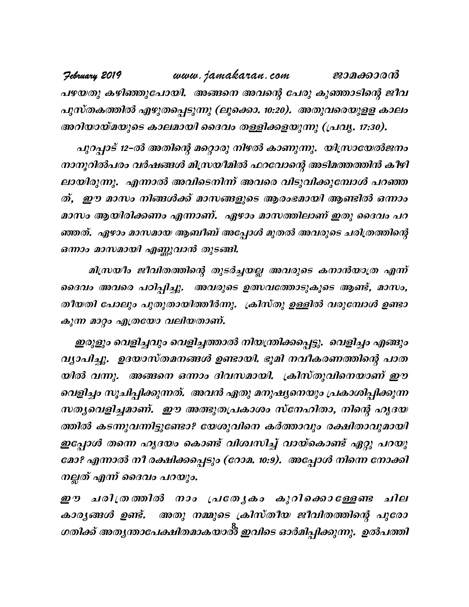www.jamakaran.com February 2019 ജാമക്കാരൻ പഴയതു കഴിഞ്ഞുപോയി. അങ്ങനെ അവന്റെ പേരു കുഞ്ഞാടിന്റെ ജീവ പുസ്തകത്തിൽ എഴുതപ്പെടുന്നു (ലൂക്കൊ. 10:20). അതുവരെയുളള കാലം അറിയായ്മയുടെ കാലമായി ദൈവം തള്ളിക്കളയുന്നു (പ്രവൃ. 17:30).

പുറപ്പാട് 12-ൽ അതിന്റെ മറ്റൊരു നിഴൽ കാണുന്നു. യിസ്രായേൽജനം നാനൂറിൽപരം വർഷങ്ങൾ മിസ്രയീമിൽ ഫറവോന്റെ അടിമത്തത്തിൻ കീഴി ലായിരുന്നു. എന്നാൽ അവിടെനിന്ന് അവരെ വിടുവിക്കുമ്പോൾ പറഞ്ഞ ത്, ഈ മാസം നിങ്ങൾക്ക് മാസങ്ങളുടെ ആരംഭമായി ആണ്ടിൽ ഒന്നാം മാസം ആയിരിക്കണം എന്നാണ്. ഏഴാം മാസത്തിലാണ് ഇതു ദൈവം പറ ഞ്ഞത്. ഏഴാം മാസമായ ആബീബ് അപ്പോൾ മുതൽ അവരുടെ ചരിത്രത്തിന്റെ ഒന്നാം മാസമായി എണ്ണുവാൻ തുടങ്ങി.

മിസ്രയീം ജീവിതത്തിന്റെ തുടർച്ചയല്ല അവരുടെ കനാൻയാത്ര എന്ന് ദൈവം അവരെ പഠിപ്പിച്ചു. അവരുടെ ഉത്സവത്തോടുകൂടെ ആണ്ട്, മാസം, തീയതി പോലും പുതുതായിത്തീർന്നു. ക്രിസ്തു ഉള്ളിൽ വരുമ്പോൾ ഉണ്ടാ കുന്ന മാറ്റം എത്രയോ വലിയതാണ്.

ഇരുളും വെളിച്ചവും വെളിച്ചത്താൽ നിയന്ത്രിക്കപ്പെട്ടു. വെളിച്ചം എങ്ങും വ്യാപിച്ചു. ഉദയാസ്തമനങ്ങൾ ഉണ്ടായി. ഭൂമി നവീകരണത്തിന്റെ പാത യിൽ വന്നു. അങ്ങനെ ഒന്നാം ദിവസമായി. ക്രിസ്തുവിനെയാണ് ഈ വെളിച്ചം സൂചിപ്പിക്കുന്നത്. അവൻ ഏതു മനുഷ്യനെയും പ്രകാശിപ്പിക്കുന്ന സത്യവെളിച്ചമാണ്. ഈ അത്ഭുതപ്രകാശം സ്നേഹിതാ, നിന്റെ ഹൃദയ ത്തിൽ കടന്നുവന്നിട്ടുണ്ടോ? യേശുവിനെ കർത്താവും രക്ഷിതാവുമായി ഇപ്പോൾ തന്നെ ഹൃദയം കൊണ്ട് വിശ്വസിച്ച് വായ്കൊണ്ട് ഏറ്റു പറയു മോ? എന്നാൽ നീ രക്ഷിക്കപ്പെടും (റോമ. 10:9). അപ്പോൾ നിന്നെ നോക്കി നല്ലത് എന്ന് ദൈവം പറയും.

ഈ ചരിത്രത്തിൽ നാം പ്രത്യേകം കുറിക്കൊള്ളേണ്ട ചില കാരൃങ്ങൾ ഉണ്ട്. അതു നമ്മുടെ ക്രിസ്തീയ ജീവിതത്തിന്റെ പുരോ ഗതിക്ക് അതൃന്താപേക്ഷിതമാകയാൽ ഇവിടെ ഓർമിപ്പിക്കുന്നു. ഉൽപത്തി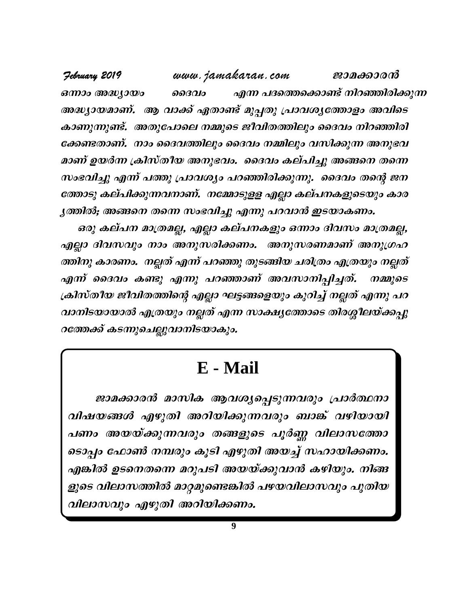**February 2019** www.jamakaran.com **Pma¡mc³** ഒന്നാം അദ്ധ്യായം ''  $\;$  ൈദ $\;$ വം'' എന്ന പദത്തെക്കൊണ്ട് നിറഞ്ഞിരിക്കുന്ന അദ്ധ്യായമാണ്. ആ വാക്ക് ഏതാണ്ട് മുപ്പതു പ്രാവശ്യത്തോളം അവിടെ കാണുന്നുണ്ട്. അതുപോലെ നമ്മുടെ ജീവിതത്തിലും ദൈവം നിറഞ്ഞിരി ക്കേണ്ടതാണ്. നാം ദൈവത്തിലും ദൈവം നമ്മിലും വസിക്കുന്ന അനുഭവ മാണ് ഉയർന്ന ക്രിസ്തീയ അനുഭവം. ദൈവം കല്പിച്ചു അങ്ങനെ തന്നെ സംഭവിച്ചു എന്ന് പത്തു പ്രാവശ്യം പറഞ്ഞിരിക്കുന്നു. ദൈവം തന്റെ ജന ത്തോടു കല്പിക്കുന്നവനാണ്. നമ്മോടുളള എല്ലാ കല്പനകളുടെയും കാര  $\bm{y}$ ത്തിൽ; അങ്ങനെ തന്നെ സംഭവിച്ചു എന്നു പറവാൻ ഇടയാകണം.

ഒരു കല്പന മാത്രമല്ല, എല്ലാ കല്പനകളും ഒന്നാം ദിവസം മാത്രമല്ല, *തോടു കല്പിക്കുന്നവനാണ്. നമ്മോടുളള എല്ലാ കല്പനകളുടെയും കാര*<br>ൃ*ത്തിൽ, അങ്ങനെ തന്നെ സംഭവിച്ചു എന്നു പറവാൻ ഇടയാകണം.<br>ഒരു കല്പന മാത്രമല്ല, എല്ലാ കല്പനകളും ഒന്നാം ദിവസം മാത്രമല്ല,<br>എല്ലാ ദിവസവും നാം അനുസരിക്കണം. അനുസരണമാണ് അനുഗ* ത്തിനു കാരണം. നല്ലത് എന്ന് പറഞ്ഞു തുടങ്ങിയ ചരിത്രം എത്രയും നല്ലത് ് കല്പന മാത്രമല്ല, എല്ലാ കല്പനകളും ഒന്നാം ദിവസം മാത്രമല്ല,<br>എല്ലാ ദിവസവും നാം അനുസരിക്കണം. അനുസരണമാണ് അനുഗ്രഹ<br>ത്തിനു കാരണം. നല്ലത് എന്ന് പറഞ്ഞു തുടങ്ങിയ ചരിത്രം എത്രയും നല്ലത്<br>എന്ന് ദൈവം കണ്ടു എന്നു പറഞ്ഞാണ് അവസാനിപ ക്രിസ്തീയ ജീവിതത്തിന്റെ എല്ലാ ഘട്ടങ്ങളെയും കുറിച്ച് നല്ലത് എന്നു പറ വാനിടയായാൽ എത്രയും നല്ലത് എന്ന സാക്ഷ്യത്തോടെ തിരശ്ശീലയ്ക്കപ്പു റത്തേക്ക് കടന്നുചെല്ലുവാനിടയാകും.

# **E - Mail**

ജാമക്കാരൻ മാസിക ആവശ്യപ്പെടുന്നവരും പ്രാർത്ഥനാ  $\rm E$  -  $\rm Mail$ <br>ജാമക്കാരൻ മാസിക ആവശ്യപ്പെടുന്നവരും പ്രാർത്ഥനാ<br>വിഷയങ്ങൾ എഴുതി അറിയിക്കുന്നവരും ബാങ്ക് വഴിയായി<br>പണം അയയ്ക്കുന്നവരും തങ്ങളുടെ പൂർണ്ണ വിലാസത്തോ<br>ടൊപ്പം ഫോൺ നമ്പരും കൂടി എഴുതി അയച്ച് സഹായിക്കണം.  $E$  - Mall<br>ജാമക്കാരൻ മാസിക ആവശ്യപ്പെടുന്നവരും പ്രാർത്ഥനാ<br>വിഷയങ്ങൾ എഴുതി അറിയിക്കുന്നവരും ബാങ്ക് വഴിയായി<br>ഓപ്പം ഫോൺ നമ്പരും കൂടി എഴുതി അയച്ച് സഹായിക്കണം.<br>എങ്കിൽ ഉടനെതന്നെ മറുപടി അയയ്ക്കുവാൻ കഴിയും. നിങ്ങ ടൊപ്പം ഫോൺ നമ്പരും കൂടി എഴുതി അയച്ച് സഹായിക്കണം. എങ്കിൽ ഉടനെതന്നെ മറുപടി അയയ്ക്കുവാൻ കഴിയും. നിങ്ങ ളുടെ വിലാസത്തിൽ മാറ്റമുണ്ടെങ്കിൽ പഴയവിലാസവും പുതിയ വിലാസവും എഴുതി അറിയിക്കണം.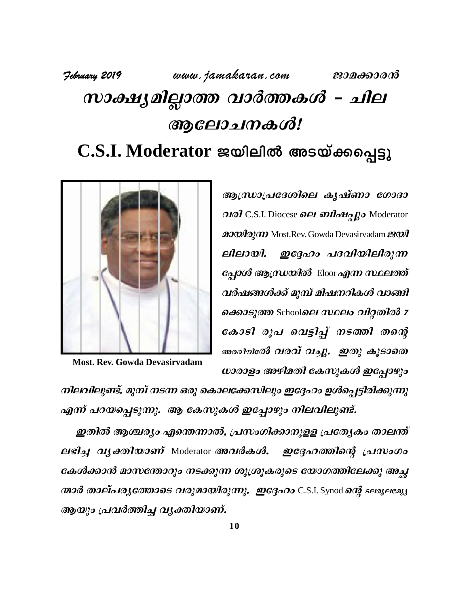## February 2019 www.jamakaran.com ജാമക്കാരൻ സാക്ഷ്യമില്ലാത്ത വാർത്തകൾ - ചില ആലോചനകൾ! C.S.I. Moderator ജയിലിൽ അടയ്ക്കപ്പെട്ടു

ആന്ധ്രാപ്രദേശിലെ കൃഷ്ണാ ഗോദാ വരി C.S.I. Diocese ലെ ബിഷപ്പും Moderator 2000 Day Most. Rev. Gowda Devasirvadam ലിലായി. ഇദ്ദേഹം പദവിയിലിരുന്ന *പ്പോൾ ആസ്രയിൽ* Eloor *എന്ന സ്ഥലത്ത്* വർഷങ്ങൾക്ക് മുമ്പ് മിഷനറികൾ വാങ്ങി ക്കൊടുത്ത Schoolലെ സ്ഥലം വിറ്റതിൽ z കോടി രൂപ വെട്ടിപ്പ് നടത്തി തന്റെ അരീൗര്ത് വരവ് വച്ചു. ഇതു കൂടാതെ ധാരാളം അഴിമതി കേസുകൾ ഇപ്പോഴും



**Most. Rev. Gowda Devasirvadam** 

നിലവിലുണ്ട്. മുമ്പ് നടന്ന ഒരു കൊലക്കേസിലും ഇദ്ദേഹം ഉൾപ്പെട്ടിരിക്കുന്നു എന്ന് പറയപ്പെടുന്നു. ആ കേസുകൾ ഇപ്പോഴും നിലവിലുണ്ട്.

ഇതിൽ ആശ്ചര്യം എന്തെന്നാൽ, പ്രസംഗിക്കാനുള്ള പ്രത്യേകം താലന്ത് ലഭിച്ച വൃക്തിയാണ് Moderator അവർകൾ. ഇദ്ദേഹത്തിന്റെ പ്രസംഗം കേൾക്കാൻ മാസത്താറും നടക്കുന്ന ശുശ്രൂകരുടെ യോഗത്തിലേക്കു അച്ഛ ന്മാർ താല്പര്യത്തോടെ വരുമായിരുന്നു. ഇദ്ദേഹം C.S.I. Synod ന്റെ ടലരുലമ്യു ആയും പ്രവർത്തിച്ച വൃക്തിയാണ്.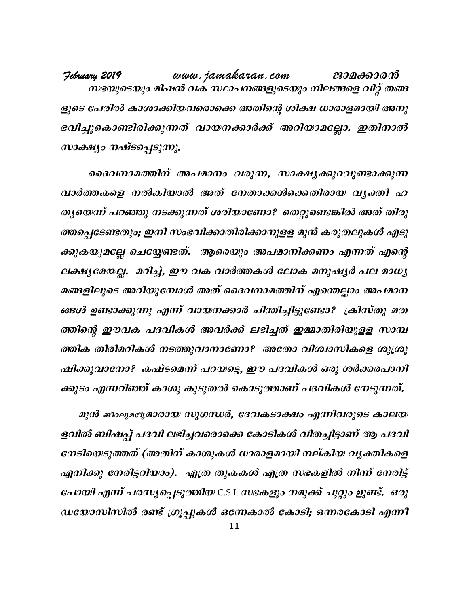www.jamakaran.com February 2019 ജാമക്കാരൻ സഭയുടെയും മിഷൻ വക സ്ഥാപനങ്ങളുടെയും നിലങ്ങളെ വിറ്റ് തങ്ങ ളുടെ പേരിൽ കാശാക്കിയവരൊക്കെ അതിന്റെ ശിക്ഷ ധാരാളമായി അനു ഭവിച്ചുകൊണ്ടിരിക്കുന്നത് വായനക്കാർക്ക് അറിയാമല്ലോ. ഇതിനാൽ സാക്ഷ്യം നഷ്ടപ്പെടുന്നു.

ദൈവനാമത്തിന് അപമാനം വരുന്ന, സാക്ഷ്യക്കുറവുണ്ടാക്കുന്ന വാർത്തകളെ നൽകിയാൽ അത് നേതാക്കൾക്കെതിരായ വൃക്തി ഹ തൃയെന്ന് പറഞ്ഞു നടക്കുന്നത് ശരിയാണോ? തെറ്റുണ്ടെങ്കിൽ അത് തിരു ത്തപ്പെടേണ്ടതും; ഇനി സംഭവിക്കാതിരിക്കാനുളള മുൻ കരുതലുകൾ എടു ക്കുകയുമല്ലേ ചെയ്യേണ്ടത്. ആരെയും അപമാനിക്കണം എന്നത് എന്റെ ലക്ഷ്യമേയല്ല. മറിച്ച്, ഈ വക വാർത്തകൾ ലോക മനുഷ്യർ പല മാധ്യ മങ്ങളിലൂടെ അറിയുമ്പോൾ അത് ദൈവനാമത്തിന് എന്തെല്ലാം അപമാന ങ്ങൾ ഉണ്ടാക്കുന്നു എന്ന് വായനക്കാർ ചിന്തിച്ചിട്ടുണ്ടോ? ക്രിസ്തു മത ത്തിന്റെ ഈവക പദവികൾ അവർക്ക് ലഭിച്ചത് ഇമ്മാതിരിയുളള സാമ്പ ത്തിക തിരിമറികൾ നടത്തുവാനാണോ? അതോ വിശ്വാസികളെ ശുശ്രൂ ഷിക്കുവാനോ? കഷ്ടമെന്ന് പറയട്ടെ, ഈ പദവികൾ ഒരു ശർക്കരപാനി ക്കുടം എന്നറിഞ്ഞ് കാശു കൂടുതൽ കൊടുത്താണ് പദവികൾ നേടുന്നത്.

മുൻ ങരലുമദൂമാരായ സുഗന്ധർ, ദേവകടാക്ഷം എന്നിവരുടെ കാലയ ളവിൽ ബിഷപ്പ് പദവി ലഭിച്ചവരൊക്കെ കോടികൾ വിതച്ചിട്ടാണ് ആ പദവി നേടിയെടുത്തത് (അതിന് കാശുകൾ ധാരാളമായി നല്കിയ വൃക്തികളെ എനിക്കു നേരിട്ടറിയാം). എത്ര തുകകൾ എത്ര സഭകളിൽ നിന്ന് നേരിട്ട് പോയി എന്ന് പരസ്യപ്പെടുത്തിയ C.S.I. സഭകളും നമുക്ക് ചുറ്റും ഉുണ്ട്. ഒരു ഡയോസിസിൽ രണ്ട് ഗ്രൂപ്പുകൾ ഒന്നേകാൽ കോടി; ഒന്നരകോടി എന്നീ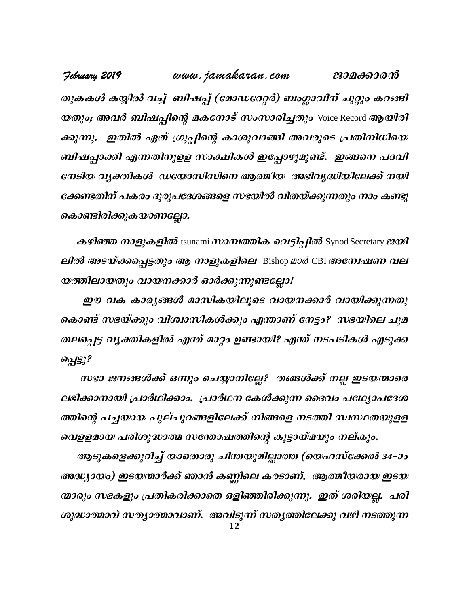www.jamakaran.com February 2019 ജാമക്കാരൻ തുകകൾ കയ്യിൽ വച്ച് ബിഷപ്പ് (മോഡറേറ്റർ) ബംഗ്ലാവിന് ചുറ്റും കറങ്ങി യതും; അവർ ബിഷപ്പിന്റെ മകനോട് സംസാരിച്ചതും Voice Record ആയിരി ക്കുന്നു. ഇതിൽ ഏത് ഗ്രൂപ്പിന്റെ കാശുവാങ്ങി അവരുടെ പ്രതിനിധിയെ ബിഷപ്പാക്കി എന്നതിനുളള സാക്ഷികൾ ഇപ്പോഴുമുണ്ട്. ഇങ്ങനെ പദവി നേടിയ വൃക്തികൾ ഡയോസിസിനെ ആത്മീയ അഭിവൃദ്ധിയിലേക്ക് നയി ക്കേണ്ടതിന് പകരം ദുരുപദേശങ്ങളെ സഭയിൽ വിതയ്ക്കുന്നതും നാം കണ്ടു കൊണ്ടിരിക്കുകയാണല്ലോ.

കഴിഞ്ഞ നാളുകളിൽ tsunami സാമ്പത്തിക വെട്ടിപ്പിൽ Synod Secretary ജയി *ലിൽ അടയ്ക്കപ്പെട്ടതും ആ നാളുകളിലെ* Bishop മാർ CBI അന്വേഷണ വല യത്തിലായതും വായനക്കാർ ഓർക്കുന്നുണ്ടല്ലോ!

ഈ വക കാരൃങ്ങൾ മാസികയിലൂടെ വായനക്കാർ വായിക്കുന്നതു കൊണ്ട് സഭയ്ക്കും വിശ്വാസികൾക്കും എന്താണ് നേട്ടം? സഭയിലെ ചുമ തലപ്പെട്ട വ്യക്തികളിൽ എന്ത് മാറ്റം ഉണ്ടായി? എന്ത് നടപടികൾ എടുക്ക  $\partial q$ 

സഭാ ജനങ്ങൾക്ക് ഒന്നും ചെയ്യാനില്ലേ? തങ്ങൾക്ക് നല്ല ഇടയന്മാരെ ലഭിക്കാനായി പ്രാർഥിക്കാം. പ്രാർഥന കേൾക്കുന്ന ദൈവം പഥ്യോപദേശ ത്തിന്റെ പച്ചയായ പുല്പുറങ്ങളിലേക്ക് നിങ്ങളെ നടത്തി സ്ഥ്ഥതയുളള വെളളമായ പരിശുദ്ധാത്മ സതോഷത്തിന്റെ കൂട്ടായ്മയും നല്കും.

ആടുകളെക്കുറിച്ച് യാതൊരു ചിന്തയുമില്ലാത്ത (യെഹസ്ക്കേൽ 34–ാം അദ്ധ്യായം) ഇടയന്മാർക്ക് ഞാൻ കണ്ണിലെ കരടാണ്. ആത്മീയരായ ഇടയ ന്മാരും സഭകളും പ്രതികരിക്കാതെ ഒളിഞ്ഞിരിക്കുന്നു. ഇത് ശരിയല്ല. പരി ശുദ്ധാത്മാവ് സത്യാത്മാവാണ്. അവിടുന്ന് സത്യത്തിലേക്കു വഴി നടത്തുന്ന  $12$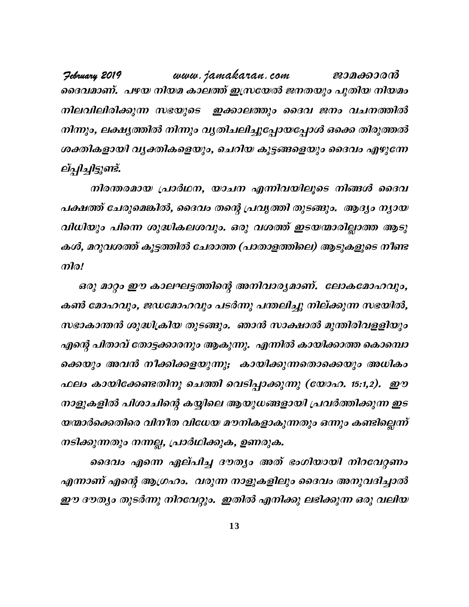**February 2019** www.jamakaran.com **Pma¡mc³** ദൈവമാണ്. പഴയ നിയമ കാലത്ത് ഇസ്രയേൽ ജനതയും പുതിയ നിയമം നിലവിലിരിക്കുന്ന സഭയുടെ ഇക്കാലത്തും ദൈവ ജനം വചനത്തിൽ നിന്നും, ലക്ഷ്യത്തിൽ നിന്നും വ്യതിചലിച്ചുപ്പോയപ്പോൾ ഒക്കെ തിരുത്തൽ ദൈവമാണ്. പഴയ നിയമ കാലത്ത് ഇസ്രയേൽ ജനതയും പുതിയ നിയമം<br>നിലവിലിരിക്കുന്ന സഭയുടെ ഇക്കാലത്തും ദൈവ ജനം വചനത്തിൽ<br>നിന്നും, ലക്ഷ്യത്തിൽ നിന്നും വ്യതിചലിച്ചുപ്പോയപ്പോൾ ഒക്കെ തിരുത്തൽ<br>ശക്തികളായി വ്യക്തികളെയും, ചെറിയ കൂട്ടങ്ങള ല്പ്പിച്ചിട്ടുണ്ട്. നിന്നും, ലക്ഷ്യത്തിൽ നിന്നും വ്യതിചലിച്ചുപ്പോയപ്പോൾ ഒക്കെ തിരുത്തൽ<br>ശക്തികളായി വ്യക്തികളെയും, ചെറിയ കൂട്ടങ്ങളെയും ദൈവം എഴുന്നേ<br>ല്പ്പിച്ചിട്ടുണ്ട്.<br>നിരന്തരമായ പ്രാർഥന, യാചന എന്നിവയിലൂടെ നിങ്ങൾ ദൈവ<br>പക്ഷത്ത് ചേരുമെങ്കിൽ, ദൈവം

പക്ഷത്ത് ചേരുമെങ്കിൽ, ദൈവം തന്റെ പ്രവൃത്തി തുടങ്ങും. ആദ്യം ന്യായ വിധിയും പിന്നെ ശുദ്ധികലശവും. ഒരു വശത്ത് ഇടയന്മാരില്ലാത്ത ആടു കൾ, മറുവശത്ത് കൂട്ടത്തിൽ ചേരാത്ത (പാതാളത്തിലെ) ആടുകളുടെ നീണ്ട  $\eta$ വിധിയും പിന്നെ ശുദ്ധികലശവും. ഒരു വശത്ത് ഇടയന്മാരില്ലാത്ത ആടു<br>കൾ, മറുവശത്ത് കൂട്ടത്തിൽ ചേരാത്ത (പാതാളത്തിലെ) ആടുകളുടെ നീണ്ട<br>- ഒരു മാറ്റം ഈ കാലഘട്ടത്തിന്റെ അനിവാര്യമാണ്. ലോകമോഹവും,<br>കൺ മോഹവും, ജഡമോഹവും പടർന്നു പന്തലിച്ചു നി

കൺ മോഹവും, ജഡമോഹവും പടർന്നു പന്തലിച്ചു നില്ക്കുന്ന സഭയിൽ, സഭാകാന്തൻ ശുദ്ധിക്രിയ തുടങ്ങും. ഞാൻ സാക്ഷാൽ മുന്തിരിവളളിയും എന്റെ പിതാവ് തോട്ടക്കാരനും ആകുന്നു. എന്നിൽ കായിക്കാത്ത കൊമ്പൊ കൺ മോഹവും, ജഡമോഹവും പടർന്നു പന്തലിച്ചു നില്ക്കുന്ന സഭയിൽ,<br>സഭാകാന്തൻ ശുദ്ധിക്രിയ തുടങ്ങും. ഞാൻ സാക്ഷാൽ മുന്തിരിവളളിയും<br>എന്റെ പിതാവ് തോട്ടക്കാരനും ആകുന്നു. എന്നിൽ കായിക്കാത്ത കൊമ്പൊ<br>ക്കെയും അവൻ നീക്കിക്കളയുന്നു; കായിക്ക *സഭാകാന്തൻ ശുദ്ധിക്രിയ തുടങ്ങും. ഞാൻ സാക്ഷാൽ മുന്തിരിവളളിയും*<br>എന്റെ പിതാവ് തോട്ടക്കാരനും ആകുന്നു. എന്നിൽ കായിക്കാത്ത കൊമ്പൊ<br>ക്കെയും അവൻ നീക്കിക്കളയുന്നു; കായിക്കുന്നതൊക്കെയും അധികം<br>ഫലം കായിക്കേണ്ടതിനു ചെത്തി വെടിപ്പാക്കുന എന്റെ പിതാവ് തോട്ടക്കാരനും ആകുന്നു. എന്നിൽ കായിക്കാത്ത കൊമ്പൊ<br>ക്കെയും അവൻ നീക്കിക്കളയുന്നു; കായിക്കുന്നതൊക്കെയും അധികം<br>ഫലം കായിക്കേണ്ടതിനു ചെത്തി വെടിപ്പാക്കുന്നു (യോഹ. 15:1,2). ഈ<br>നാളുകളിൽ പിശാചിന്റെ കയ്യി യന്മാർക്കെതിരെ വിനീത വിധേയ മൗനികളാകുന്നതും ഒന്നും കണ്ടില്ലെന്ന് നടിക്കുന്നതും നന്നല്ല, പ്രാർഥിക്കുക, ഉണരുക.

ദൈവം എന്നെ ഏല്പിച്ച ദൗത്യം അത് ഭംഗിയായി നിറവേറ്റണം എന്നാണ് എന്റെ ആഗ്രഹം. വരുന്ന നാളുകളിലും ദൈവം അനുവദിച്ചാൽ ഈ ദൗത്യം തുടർന്നു നിറവേറ്റും. ഇതിൽ എനിക്കു ലഭിക്കുന്ന ഒരു വലിയ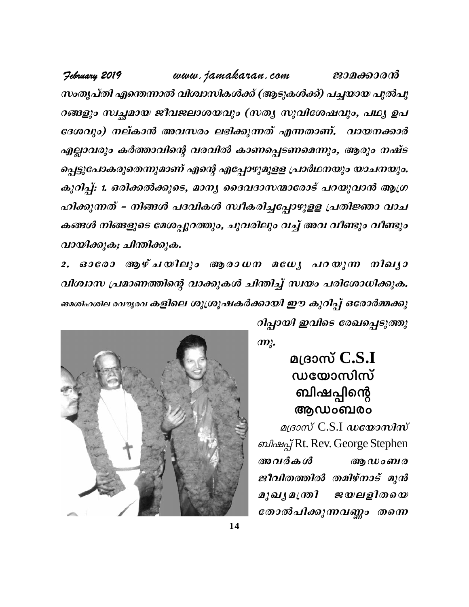www.jamakaran.com February 2019 ജാമക്കാരൻ സംതൃപ്തി എന്തെന്നാൽ വിശ്വാസികൾക്ക് (ആടുകൾക്ക്) പച്ചയായ പുൽപു റങ്ങളും സ്വച്ചമായ ജീവജലാശയവും (സത്യ സുവിശേഷവും, പഥ്യ ഉപ ദേശവും) നല്കാൻ അവസരം ലഭിക്കുന്നത് എന്നതാണ്. വായനക്കാർ എല്ലാവരും കർത്താവിന്റെ വരവിൽ കാണപ്പെടണമെന്നും, ആരും നഷ്ട പ്പെട്ടുപോകരുതെന്നുമാണ് എന്റെ എപ്പോഴുമുളള പ്രാർഥനയും യാചനയും. കുറിപ്പ്: 1. ഒരിക്കൽക്കൂടെ, മാന്യ ദൈവദാസന്മാരോട് പറയുവാൻ ആഗ്ര ഹിക്കുന്നത് - നിങ്ങൾ പദവികൾ സ്ഥീകരിച്ചപ്പോഴുളള പ്രതിജ്ഞാ വാച കങ്ങൾ നിങ്ങളുടെ മേശപ്പുറത്തും, ചുവരിലും വച്ച് അവ വീണ്ടും വീണ്ടും വായിക്കുക; ചിന്തിക്കുക.

ഓരോ ആഴ്ചയിലും ആരാധന മധ്യേ പറയുന്ന നിഖ്യാ  $2.$ വിശ്വാസ പ്രമാണത്തിന്റെ വാക്കുകൾ ചിന്തിച്ച് സ്വയം പരിശോധിക്കുക. ങമശിഹശില രവൗുരവ കളിലെ ശുശ്രൂഷകർക്കായി ഈ കുറിപ്പ് ഒരോർമ്മക്കു റിച്ചായി ഇവിടെ രേഖപ്പെടുത്തു



 $m$ .

## മദ്രാസ്  $C.S.I$ ൜യോസിസ് ബിഷപ്പിന്റെ ആഡംബരം

 $\alpha$ вного С.S.I  $\alpha$  из  $\alpha$ விவூ Rt. Rev. George Stephen അവർകൾ ആ ഡംബര ജീവിതത്തിൽ തമിഴ്നാട് മുൻ മുഖൃമത്രി *ജയലളിതയെ* തോൽപിക്കുന്നവണ്ണം തന്നെ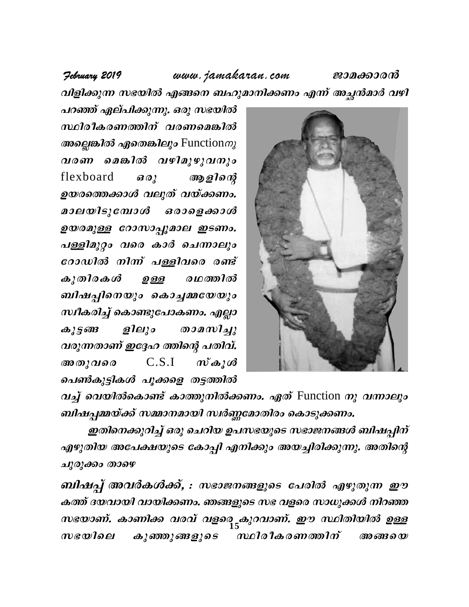#### February 2019

www.jamakaran.com

ജാമക്കാരൻ

വിളിക്കുന്ന സഭയിൽ എങ്ങനെ ബഹുമാനിക്കണം എന്ന് അച്ഛൻമാർ വഴി

പറഞ്ഞ് ഏല്പിക്കുന്നു. ഒരു സഭയിൽ സ്ഥിരീകരണത്തിന് വരണമെങ്കിൽ  $\omega$  and  $\omega$  and  $\omega$  and  $\omega$  function  $\omega$ വരണ മെങ്കിൽ വഴിമുഴുവനും flexboard  $\boldsymbol{\partial}\boldsymbol{\partial}$ ആളിന്റെ ഉയരത്തെക്കാൾ വലുത് വയ്ക്കണം. മാലയിടുമ്പോൾ *ഒരാളെ ക്കാൾ* ഉയരമുള്ള റോസാപ്പൂമാല ഇടണം. പള്ളിമുറ്റം വരെ കാർ ചെന്നാലും രോഡിൽ നിന്ന് പള്ളിവരെ രണ്ട്  $\omega$ 200  $\omega$ രഥത്തിൽ ഉള്ള ബിഷപ്പിനെയും കൊച്ചമ്മയേയും സ്ഥീകരിച്ച് കൊണ്ടുപോകണം. എല്ലാ  $\omega_{25}$  and ളിലും  $\omega$ വരുന്നതാണ് ഇദ്ദേഹ ത്തിന്റെ പതിവ്.  $C.S.I$ അതുവരെ  $\mathbf{w}$   $\mathbf{\omega}$   $\mathbf{\omega}$ പെൺകുട്ടികൾ പൂക്കളെ തട്ടത്തിൽ



വച്ച് വെയിൽകൊണ്ട് കാത്തുനിൽക്കണം. ഏത് Function നു വന്നാലും ബിഷപ്പമ്മയ്ക്ക് സമ്മാനമായി സ്ഥിണ്ണമോതിരം കൊടുക്കണം.

ഇതിനെക്കുറിച്ച് ഒരു ചെറിയ ഉപസഭയുടെ സഭാജനങ്ങൾ ബിഷപ്പിന് എഴുതിയ അപേക്ഷയുടെ കോപ്പി എനിക്കും അയച്ചിരിക്കുന്നു. അതിന്റെ ചുരുക്കം താഴെ

ബിഷപ്പ് അവർകൾക്ക്, : സഭാജനങ്ങളുടെ പേരിൽ എഴുതുന്ന ഈ കത്ത് ദയവായി വായിക്കണം. ഞങ്ങളുടെ സഭ വളരെ സാധുക്കൾ നിറഞ്ഞ സഭയാണ്. കാണിക്ക വരവ് വളരെ<sub>ട്ട</sub>കുറവാണ്. ഈ സ്ഥിതിയിൽ ഉള്ള *സ്ഥിരീകരണത്തിന്*  $w$ ഭയിലെ കുഞ്ഞുങ്ങളുടെ അങ്ങനെ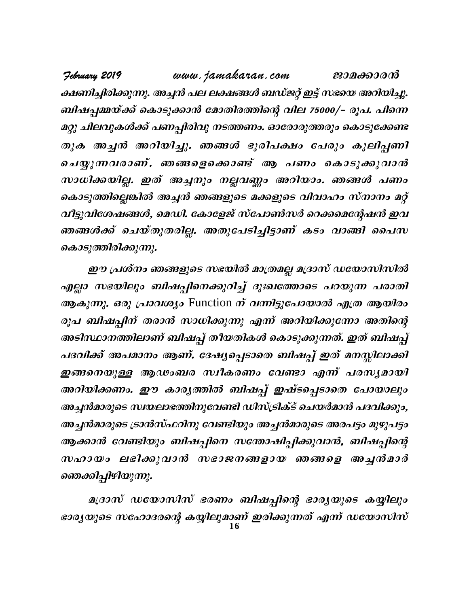www.jamakaran.com February 2019 ജാമക്കാരൻ ക്ഷണിച്ചിരിക്കുന്നു. അച്ചൻ പല ലക്ഷങ്ങൾ ബഡ്ജറ്റ് ഇട്ട് സഭയെ അറിയിച്ചു. ബിഷപ്പമ്മയ്ക്ക് കൊടുക്കാൻ മോതിരത്തിന്റെ വില 75000/– രൂപ. പിന്നെ മറ്റു ചിലവുകൾക്ക് പണപ്പിരിവു നടത്തണം. ഓരോരുത്തരും കൊടുക്കേണ്ട തുക അച്ചൻ അറിയിച്ചു. ഞങ്ങൾ ഭൂരിപക്ഷം പേരും കൂലിപ്പണി ചെയ്യുന്നവരാണ്. ഞങ്ങളെക്കൊണ്ട് ആ പണം കൊടുക്കുവാൻ സാധിക്കയില്ല. ഇത് അച്ചനും നല്ലവണ്ണം അറിയാം. ഞങ്ങൾ പണം കൊടുത്തില്ലെങ്കിൽ അച്ചൻ ഞങ്ങളുടെ മക്കളുടെ വിവാഹം സ്നാനം മറ്റ് വീട്ടുവിശേഷങ്ങൾ, മെഡി. കോളേജ് സ്പോൺസർ റെക്കമെന്റേഷൻ ഇവ ഞങ്ങൾക്ക് ചെയ്തുതരില്ല. അതുപേടിച്ചിട്ടാണ് കടം വാങ്ങി പൈസ കൊടുത്തിരിക്കുന്നു.

ഈ പ്രശ്നം ഞങ്ങളുടെ സഭയിൽ മാത്രമല്ല മദ്രാസ് ഡയോസിസിൽ എല്ലാ സഭയിലും ബിഷപ്പിനെക്കുറിച്ച് ദുഃഖത്തോടെ പറയുന്ന പരാതി ആകുന്നു. ഒരു പ്രാവശ്യം Function ന് വന്നിട്ടുപോയാൽ എത്ര ആയിരം രൂപ ബിഷപ്പിന് തരാൻ സാധിക്കുന്നു എന്ന് അറിയിക്കുന്നോ അതിന്റെ അടിസ്ഥാനത്തിലാണ് ബിഷപ്പ് തീയതികൾ കൊടുക്കുന്നത്. ഇത് ബിഷപ്പ് പദവിക്ക് അപമാനം ആണ്. ദേഷ്യപ്പെടാതെ ബിഷപ്പ് ഇത് മനസ്സിലാക്കി ഇങ്ങനെയുള്ള ആഢംബര സ്ഥീകരണം വേണ്ടാ എന്ന് പരസൃമായി അറിയിക്കണം. ഈ കാര്യത്തിൽ ബിഷപ്പ് ഇഷ്ടപ്പെടാതെ പോയാലും അച്ചൻമാരുടെ സ്ഥയലാഭത്തിനുവേണ്ടി ഡിസ്ട്രിക്ട് ചെയർമാൻ പദവിക്കും, അച്ചൻമാരുടെ ട്രാൻസ്ഫറിനു വേണ്ടിയും അച്ചൻമാരുടെ അരപട്ടം മുഴുപട്ടം ആക്കാൻ വേണ്ടിയും ബിഷപ്പിനെ സന്തോഷിപ്പിക്കുവാൻ, ബിഷപ്പിന്റെ സഹായം ലഭിക്കുവാൻ സഭാജനങ്ങളായ ഞങ്ങളെ അച്ചൻമാർ ഞെക്കിപ്പിഴിയുന്നു.

മദ്രാസ് ഡയോസിസ് ഭരണം ബിഷപ്പിന്റെ ഭാര്യയുടെ കയ്യിലും ഭാര്യയുടെ സഹോദരന്റെ കയ്യിലുമാണ് ഇരിക്കുന്നത് എന്ന് ഡയോസിസ്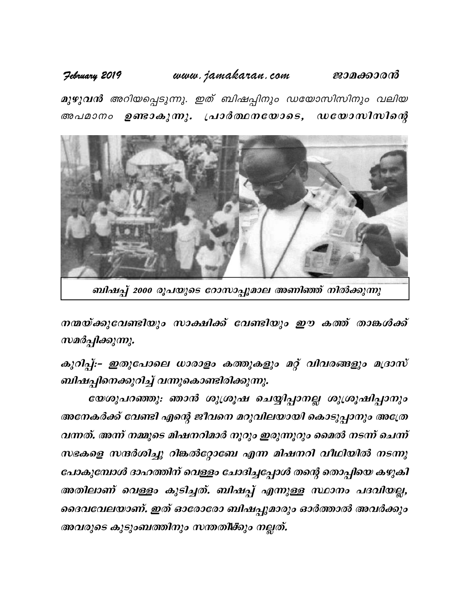www.jamakaran.com ജാമക്കാരൻ February 2019

മുഴുവൻ അറിയപ്പെടുന്നു. ഇത് ബിഷപ്പിനും ഡയോസിസിനും വലിയ അപമാനം ഉണ്ടാകുന്നു. പ്രാർത്ഥനയോടെ, ഡയോസിസിന്റെ



ബിഷപ്പ് 2000 രൂപയുടെ റോസാപ്പൂമാല അണിഞ്ഞ് നിൽക്കുന്നു

നന്മയ്ക്കുവേണ്ടിയും സാക്ഷിക്ക് വേണ്ടിയും ഈ കത്ത് താങ്കൾക്ക് സമർപ്പിക്കുന്നു.

കുറിപ്പ്:- ഇതുപോലെ ധാരാളം കത്തുകളും മറ്റ് വിവരങ്ങളും മദ്രാസ് ബിഷപ്പിനെക്കുറിച്ച് വന്നുകൊണ്ടിരിക്കുന്നു.

യേശുപറഞ്ഞു: ഞാൻ ശുശ്രൂഷ ചെയ്യിപ്പാനല്ല ശുശ്രൂഷിപ്പാനും അനേകർക്ക് വേണ്ടി എന്റെ ജീവനെ മറുവിലയായി കൊടുപ്പാനും അത്രേ വന്നത്. അന്ന് നമ്മുടെ മിഷനറിമാർ നൂറും ഇരുന്നൂറും മൈൽ നടന്ന് ചെന്ന് സഭകളെ സന്ദർശിച്ചു റിങ്കൽറ്റോബേ എന്ന മിഷനറി വീഥിയിൽ നടന്നു പോകുമ്പോൾ ദാഹത്തിന് വെള്ളം ചോദിച്ചപ്പോൾ തന്റെ തൊപ്പിയെ കഴുകി അതിലാണ് വെള്ളം കുടിച്ചത്. ബിഷപ്പ് എന്നുള്ള സ്ഥാനം പദവിയല്ല, ദൈവവേലയാണ്. ഇത് ഓരോരോ ബിഷപ്പുമാരും ഓർത്താൽ അവർക്കും അവരുടെ കുടുംബത്തിനും സന്തതിക്കും നല്ലത്.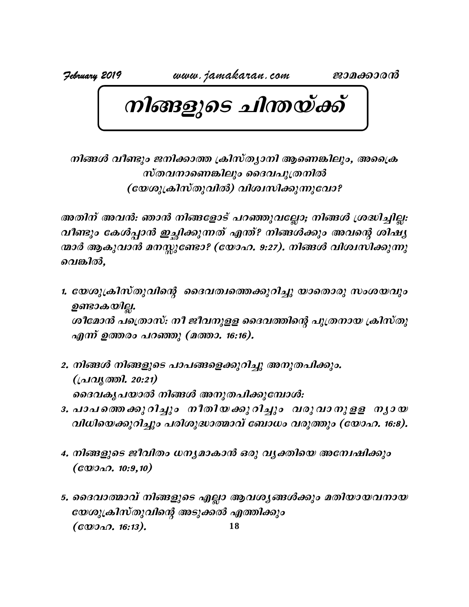$\boxed{\textcolor{red}{\textcolor{blue}{\textbf{O}}}}\ \textcolor{red}{\textcolor{blue}{\textbf{O}}}}\ \textcolor{blue}{\textcolor{blue}{\textbf{O}}}\ \textcolor{blue}{\textcolor{blue}{\textbf{O}}}\ \textcolor{blue}{\textcolor{blue}{\textbf{O}}}\ \textcolor{blue}{\textcolor{blue}{\textbf{O}}}\ \textcolor{blue}{\textcolor{blue}{\textbf{O}}}\ \textcolor{blue}{\textbf{O}}\ \textcolor{blue}{\textbf{O}}\ \textcolor{blue}{\textbf{O}}\ \textcolor{blue}{\textbf{O}}\ \textcolor{blue}{\textbf{O}}\ \textcolor{blue}{\textbf{O}}\ \textcolor{$ *kools 23 010 - 21 1101 & 8001*<br>20 ജനിക്കാത്ത ക്രിസ്ത്യാനി ആണെങ്കിലും, അക്രൈ<br>സ്തവനാണെങ്കിലും ദൈവപുത്രനിൽ<br>മശുക്രിസ്തുവിൽ) വിശ്വസിക്കുന്നുവോ? ണ്ടും ജനിക്കാത്ത ക്രിസ്ത്യാനി ആണെങ്കിലും, അപ്രൈ<br>സ്തവനാണെങ്കിലും ദൈവപുത്രനിൽ<br>(യേശുക്രിസ്തുവിൽ) വിശ്വസിക്കുന്നുവോ?<br>ൻ: ഞാൻ നിങ്ങളോട് പറഞ്ഞുവല്ലോ; നിങ്ങൾ ശ്രദ്ധിച്ചില്ല:

നിങ്ങൾ വീണ്ടും ജനിക്കാത്ത ക്രിസ്ത്യാനി ആണെങ്കിലും, അക്രൈ<br>- സ്തവനാണെങ്കിലും ദൈവപുത്രനിൽ<br>- (യേശുക്രിസ്തുവിൽ) വിശ്വസിക്കുന്നുവോ?<br>- അതിന് അവൻ: ഞാൻ നിങ്ങളോട് പറഞ്ഞുവല്ലോ; നിങ്ങൾ ശ്രദ്ധിച്ചില്ല:<br>വീണ്ടും കേൾപ്പാൻ ഇച്ഛിക്കുന്നത് *സ്തവനാണെങ്കിലും ദൈവപുത്രനിൽ*<br>(യേശുക്രിസ്തുവിൽ) വിശ്വസിക്കുന്നുവോ?<br>അതിന് അവൻ: ഞാൻ നിങ്ങളോട് പറഞ്ഞുവല്ലോ; നിങ്ങൾ ശ്രദ്ധിച്ചില്ല:<br>വീണ്ടും കേൾപ്പാൻ ഇച്ഛിക്കുന്നത് എന്ത്? നിങ്ങൾക്കും അവന്റെ ശിഷ്യ<br>നാർ ആകുവാൻ മനസ്സുണ്ടോ? (യോഹ. *(യേശുക്രിസ്തുവിൽ) വിശ്വസിക്കുന്നുവോ?*<br>അതിന് അവൻ: ഞാൻ നിങ്ങളോട് പറഞ്ഞുവല്ലോ; നിങ്ങൾ ശ്രദ്ധിച്ചില്ല:<br>വീണ്ടും കേൾപ്പാൻ ഇച്ഛിക്കുന്നത് എന്ത്? നിങ്ങൾക്കും അവന്റെ ശിഷ്യ<br>നാർ ആകുവാൻ മനസ്സുണ്ടോ? (യോഹ. 9:27). നിങ്ങൾ വിശ്വസിക്കുന്ന അതിന് അവൻ: ഞാൻ ദ<br>വീണ്ടും കേശ്പ്പാൻ ഇ<sub>ക്</sub><br>ന്മാർ ആകുവാൻ മനസ്സു<br>വെങ്കിൽ,<br>1. യേശുക്രിസ്തുവിന്റെ

- വീണ്ടും കേൾപ്പാൻ ഇച്ഛിക്കുന്നത് എന്ത്? നിങ്ങൾക്കും അവന്റെ ശിഷ്യ<br>ന്മാർ ആകുവാൻ മനസ്സുണ്ടോ? (യോഹ. 9:27). നിങ്ങൾ വിശ്വസിക്കുന്നു<br>വെങ്കിൽ,<br>ഉണ്ടാകയില്ല.<br>ഉണ്ടാകയില്ല.<br>ശീമോൻ പത്രൊസ്: നീ ജീവനുളള ദൈവത്തിന്റെ പുത്രനായ ക്രിസ്തു ാർ ആകുവാൻ മനസ്സുണ്ടോ? (േ<br>വങ്കിൽ,<br>യേശുക്രിസ്തുവിന്റെ ദൈവത.<br>ഉണ്ടാകയില്ല.<br>ശീമോൻ പത്രൊസ്: നീ ജീവനു,<br>എന്ന് ഉത്തരം പറഞ്ഞു (മത്താ. ശീമോൻ പത്രൊസ്: നീ ജീവനുളള ദൈവത്തിന്റെ പുത്രനായ ക്രിസ്തു യേശുക്രിസ്തുവിന്റെ ദൈവത്വത്തെക്കുറിച്ചു<br>ഉണ്ടാകയില്ല.<br>ശീമോൻ പത്രൊസ്: നീ ജീവനുളള ദൈവത്തി<br>എന്ന് ഉത്തരം പറഞ്ഞു (മത്താ. 16:16).<br>നിങ്ങൾ നിങ്ങളുടെ പാപങ്ങളെക്കുറിച്ചു അനുര ഉണ്ടാകയില്ല.<br>ശീമോൻ പത്രൊസ്: നീ ജീവനുളള ദൈവത്തിന്റെ പുത്രനായ ക്രിസ്<br>എന്ന് ഉത്തരം പറഞ്ഞു (മത്താ. 16:16).<br>2. നിങ്ങൾ നിങ്ങളുടെ പാപങ്ങളെക്കുറിച്ചു അനുതപിക്കും.<br>(പ്രവൃത്തി. 20:21)<br>ദൈവകൃപയാൽ നിങ്ങൾ അനുതപിക്കുമ്പോൾ:
- എന്ന് ഉത്തരം പറഞ്ഞു (മത്താ. 16:16).<br>2. നിങ്ങൾ നിങ്ങളുടെ പാപങ്ങളെക്കുറിച്ചു അനുതപിക്കും.<br>(പ്രവൃത്തി. 20:21)<br>ദൈവകൃപയാൽ നിങ്ങൾ അനുതപിക്കുമ്പോൾ:<br>3. പാപത്തെക്കുറിച്ചും നീതി*യക്കു* റിച്ചും വരു വാ നു ളള നൃാ യ എന്ന് ഉത്തരം പറഞ്ഞു (മത്താ. 16:16).<br>നിങ്ങൾ നിങ്ങളുടെ പാപങ്ങളെക്കുറിച്ചു അനുതപിക്കും.<br>(പ്രവൃത്തി. 20:21)<br>ദൈവകൃപയാൽ നിങ്ങൾ അനുതപിക്കുമ്പോൾ:<br>പാപത്തെക്കുറിച്ചും നീതിയക്കുറിച്ചും വരു വാനുളള<br>വിധിയെക്കുറിച്ചും പരിശുദ്ധാത്മാവ് ബോ 2. നിങ്ങൾ നിങ്ങളുടെ പാപങ്ങളെക്കുറിച്ചു അനുതപിക്കും.<br>(പ്രവൃത്തി. 20:21)<br>ദൈവകൃപയാൽ നിങ്ങൾ അനുതപിക്കുമ്പോൾ:<br>3. പാപത്തെക്കുറിച്ചും നീതിയക്കുറിച്ചും വരുവാനുളള നൃായ<br>വിധിയെക്കുറിച്ചും പരിശുദ്ധാത്മാവ് ബോധം വരുത്തും (യോഹ. 16:8). നിങ്ങൾ നിങ്ങളുടെ പാപങ്ങളെക്കുറിച്ചു അനുതപിക്കും.<br>(പ്രവൃത്തി. 20:21)<br>ദൈവകൃപയാൽ നിങ്ങൾ അനുതപിക്കുമ്പോൾ:<br>പാപത്തെ ക്കു റിച്ചും നീതിയ ക്കു റിച്ചും വരു വാ നു ളള ന്യായ<br>വിധിയെക്കുറിച്ചും പരിശുദ്ധാത്മാവ് ബോധം വരുത്തും (യോഹ. 16:8).
- ദൈവകൃപയാൽ നിങ്ങൾ അനുതപിക്കുമ്പോൾ:<br>3. പാപത്തെക്കു റിച്ചും നീതിയക്കു റിച്ചും വരു വാനു ളള നൃായ<br>വിധിയെക്കുറിച്ചും പരിശുദ്ധാത്മാവ് ബോധം വരുത്തും (യോഹ. 16:8).<br>4. നിങ്ങളുടെ ജീവിതം ധനൃമാകാൻ ഒരു വൃക്തിയെ അന്വേഷിക്കും<br>(യോഹ. 10:9,10
- പാപ*ത്തെ ക്കു* റിച്ചും നീ<br>വിധിയെക്കുറിച്ചും പരിശുദ<br>നിങ്ങളുടെ ജീവിതം ധനൃദ<br>(യോഹ. 10:9,10)<br>ദൈവാത്മാവ് നിങ്ങളുടെ ദ
- **18** 5. ssZhm -ßmh v \n§ -fpsS FÃm Bh -i -y -§Ä¡pw aXn -bm -b -h -\mb tbip{In-kvXp -hnsâ ASp-¡Â F¯n¡pw (യോഹ. 10:9,10)<br>ദൈവാത്മാവ് നിങ്ങളുടെ <sub>ര</sub><br>യേശുക്രിസ്തുവിന്റെ അടു<br>(യോഹ. 16:13).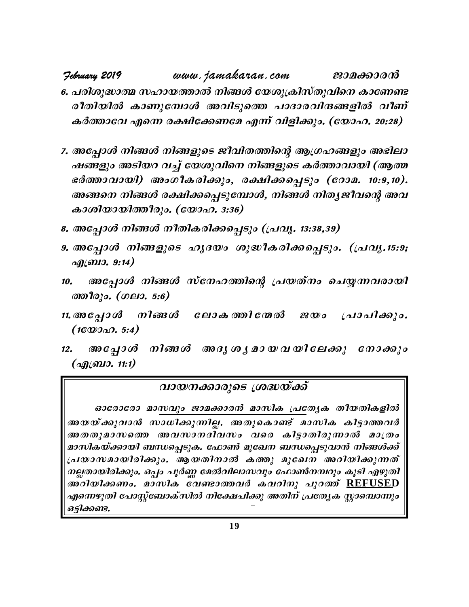**February 2019** www.jamakaran.com **Pma¡mc³** 6. പരിശുദ്ധാത്മ സഹായത്താൽ നിങ്ങൾ യേശുക്രിസ്തുവിനെ കാണേണ്ട coXn -bn ImWp -t¼mÄ Ahn -Sps¯ ]mZm -c -hn -µ -§ -fn hoW v IÀ¯mth Fs¶ c£n -t¡ -Wta F¶ v hnfn -¡pw. **(tbm -l. 20:28)**

- 6. പരിശുദ്ധാത്മ സഹായത്താൽ നിങ്ങൾ യേശുക്രിസ്തുവിനെ കാണേണ്ട<br>രീതിയിൽ കാണുമ്പോൾ അവിടുത്തെ പാദാരവിന്ദങ്ങളിൽ വീണ്<br>കർത്താവേ എന്നെ രക്ഷിക്കേണമേ എന്ന് വിളിക്കും. (യോഹ. 20:28)<br>7. അപ്പോൾ നിങ്ങൾ നിങ്ങളുടെ ജീവിതത്തിന്റെ ആഗ്രഹങ്ങളു രീതിയിൽ കാണുമ്പോൾ അവിടുത്തെ പാദാരവിന്ദങ്ങളിൽ വീണ്<br>കർത്താവേ എന്നെ രക്ഷിക്കേണമേ എന്ന് വിളിക്കും. (യോഹ. 20:28)<br>അപ്പോൾ നിങ്ങൾ നിങ്ങളുടെ ജീവിതത്തിന്റെ ആഗ്രഹങ്ങളും അഭിലാ<br>ഷങ്ങളും അടിയറ വച്ച് യേശുവിനെ നിങ്ങളുടെ കർത്താവായി (ആത കർത്താവേ എന്നെ രക്ഷിക്കേണമേ എന്ന് വിളിക്കും. (യോഹ. 20:28)<br>അപ്പോൾ നിങ്ങൾ നിങ്ങളുടെ ജീവിതത്തിന്റെ ആഗ്രഹങ്ങളും അഭിലാ<br>ഷങ്ങളും അടിയറ വച്ച് യേശുവിനെ നിങ്ങളുടെ കർത്താവായി (ആത്മ<br>ഭർത്താവായി) അംഗീകരിക്കും, രക്ഷിക്കപ്പെടും (റോമ. 10 അപ്പോൾ നിങ്ങൾ നിങ്ങളുടെ ജീവിതത്തിന്റെ അ<br>ഷങ്ങളും അടിയറ വച്ച് യേശുവിനെ നിങ്ങളുടെ<br>ഭർത്താവായി) അംഗീകരിക്കും, രക്ഷിക്കപ്പെ<br>അങ്ങനെ നിങ്ങൾ രക്ഷിക്കപ്പെടുമ്പോൾ, നിങ്ങം<br>കാശിയായിത്തീരും. (യോഹ. 3:36)<br>അപ്പോൾ, നിങ്ങൾ നീതികരിക്കപ്പെടും ഷംങ്ങളും അടിയറിച്ച യേശുവണി നിങ്ങളുടെ കരത്താവായി<br>ഭർത്താവായി) അംഗീകരിക്കും, രക്ഷിക്കപ്പെടും (റോമ. 10:<br>അങ്ങനെ നിങ്ങൾ രക്ഷിക്കപ്പെടുമ്പോൾ, നിങ്ങൾ നിതൃജീവന്റെ<br>കാശിയായിത്തീരും. (യോഹ. 3:36)<br>8. അപ്പോൾ നിങ്ങളുടെ ഹൃദയം ശുദ്ധീകരിക്ക അങ്ങനെ നിങ്ങൾ രക്ഷിക്കപ്പെടുമ്പോൾ, നിങ്ങൾ നിതൃ*ജീവന്റെ അവ*<br>കാശിയായിത്തീരും. (യോഹ. 3:36)<br>8. അപ്പോൾ നിങ്ങളുടെ ഹൃദയം ശുദ്ധീകരിക്കപ്പെടും. (പ്രവൃ.15:9;<br>എബ്രാ. 9:14)<br>10. *അപ്പോ*ൾ നിങ്ങൾ സ്നേഹത്തിന്റെ പ്രയത്നം ചെയ്യന്നവരായി
- 
- <u>എബ്രാ. 9:14)</u> 8. അപ്പോൾ നിങ്ങൾ നീതികരിക്കപ്പെടും (പ്രവൃ. 13:38,39)<br>9. അപ്പോൾ നിങ്ങളുടെ ഹൃദയം ശുദ്ധീകരിക്കപ്പെടും. (പ്രവൃ.15:9;<br>എബ്രാ. 9:14)<br>10. അപ്പോൾ നിങ്ങൾ സ്നേഹത്തിന്റെ പ്രയത്നം ചെയ്യന്നവരായി<br>ന്തീരും. (ഗലാ. 5:6)<br>11.അപ്പോൾ ച<br>*അപ്പോൾ നിങ്ങളുടെ ഹൃദയം*<br>എബ്രാ. 9:14)<br>. അപ്പോൾ നിങ്ങൾ സ്നേഹ<br>ഞീരും. (ഗലാ. 5:6)<br>അപ്പോൾ നിങ്ങൾ ലോക<br>(1യോഹ. 5:4)
- $\begin{array}{llll} \hbox{if}& \mathbb{Z}_2 \ \hbox{if}& \mathbb{Z}_3 \ \hbox{if}& \mathbb{Z}_4 \ \hbox{if}& \mathbb{Z}_5 \ \hbox{if}& \mathbb{Z}_6 \ \hbox{if}& \mathbb{Z}_7 \ \hbox{if}& \mathbb{Z}_8 \ \hbox{if}& \mathbb{Z}_7 \ \hbox{if}& \mathbb{Z}_7 \ \hbox{if}& \mathbb{Z}_7 \ \hbox{if}& \mathbb{Z}_7 \ \hbox{if}& \mathbb{Z}_7 \ \hbox{if}& \mathbb{Z}_7 \ \hbox{if}& \mathbb{Z}_7 \ \hbox{if}& \mathbb{Z}_7 \ \h$ *J. അപ്പോൾ നിങ്ങൾ സ്രേത്തീരും. (ഗലാ. 5:6)*<br>*അ* പ്പോ*ൾ നിങ്ങൾ ലേ*<br>(1യോഹ. 5:4)<br>, അപ്പോൾ നിങ്ങൾ (എബ്രാ. 11:1)
- *അപ്പോൾ നിങ്ങൾ*<br>(*1യോഹ. 5:4)*<br>. *അപ്പോൾ നിങ്ങൾ*<br>(*എ*ബ്രാ. 11:1) *വായ*ശ
- ത്തീരും. (ഗലാ. 5:6)<br>11. അപ്പോൾ നിങ്ങൾ ലോകത്തിന്മേൽ ജയം പ്രാപിക്കും.<br>(1യോഹ. 5:4)<br>12. അപ്പോൾ നിങ്ങൾ അദൃശൃമായവയിലേക്കു നോക്കും<br>(എബ്രാ. 11:1)

#### വായനക്കാരുടെ ശ്രദ്ധയ്ക്ക്

ഓരോരോ മാസവും ജാമക്കാരൻ മാസിക പ്രത്യേക തീയതികളിൽ  $\overline{a}$ മായനക്കാരുടെ ശ്രദ്ധയ്ക്ക് $a$ ാരോരോ മാസ്ഥ്യം ജാമക്കാരൻ മാസിക പ്രത്യേക തീയതികളിൽ<br>അയയ്ക്കുവാൻ സാധിക്കുന്നില്ല. അതുകൊണ്ട് മാസിക കിട്ടാത്തവർ<br>അതതുമാസത്തെ അവസാനദിവസം വരെ കിട്ടാതിരുന്നാൽ മാത്രം<br>മാസികയ്ക്കായി ബന്ധപ്പെടുക. *AXXPAGO (GAVO do )<br>BOCO 2009 മാസവും ജാമക്കാരൻ മാസിക പ്രത്യേക തീയതികളിൽ<br>അയയ്ക്കുവാൻ സാധിക്കുന്നില്ല. അതുകൊണ്ട് മാസിക കിട്ടാത്തവർ<br>മാസികയ്ക്കായി ബന്ധപ്പെടുക. ഫോൺ മുഖേന ബന്ധപ്പെടുവാൻ നിങ്ങൾക്ക്<br>പ്രയാസമായിരിക്കും. ആയതിനാൽ ക* മാസികയ്ക്കായി ബന്ധപ്പെടുക. ഫോൺ മുഖേന ബന്ധപ്പെടുവാൻ നിങ്ങൾക്ക് ഒാരോരോ മ<u>ാസവും ജാമക്കാരൻ മാസിക പ്ര</u>ത്യേക തീയതികളിൽ<br>അയയ്ക്കുവാൻ സാധിക്കുന്നില്ല. അതുകൊണ്ട് മാസിക കിട്ടാത്തവർ<br>അതതുമാസത്തെ അവസാനദിവസം വരെ കിട്ടാതിരുന്നാൽ മാത്രം<br>മാസികയ്ക്കായി ബന്ധപ്പെടുക. ഫോൺ മുഖേന ബന്ധപ്പെടുവാൻ നിങ്ങൾക്ക്<br>പ നല്ലതായിരിക്കും. ഒപ്പം പൂർണ്ണ മേൽവിലാസവും ഫോൺനമ്പറും കൂടി എഴുതി അതതുമാസത്തെ അവസാനദിവസം വരെ കിട്ടാതിരുന്നാൽ മാത്രം<br>മാസികയ്ക്കായി ബന്ധപ്പെടുക. ഫോൺ മുഖേന ബന്ധപ്പെടുവാൻ നിങ്ങൾക്ക്<br>പ്രയാസമായിരിക്കും. ആയതിനാൽ കത്തു മുഖേന അറിയിക്കുന്നത്<br>നല്ലതായിരിക്കും. ഒപ്പം പൂർണ്ണ മേൽവിലാസവും ഫോൺനമ്പറും കൂ എന്നെഴുതി പോസ്റ്റ്ബോക്സിൽ നിക്ഷേപിക്കു അതിന് പ്രത്യേക സ്റ്റാമ്പൊന്നും ഒട്ടിക്കണ്ട.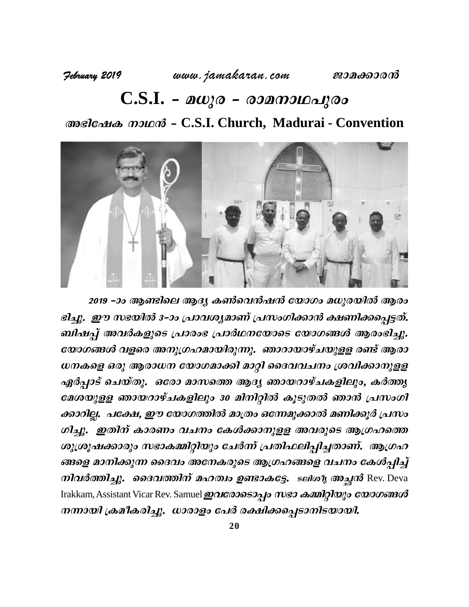# **C.S.I. - മധുര - രാമനാഥപുരം M**адели фазиция - C.S.I. Church, Madurai - Convention



2019 –ാം ആണ്ടിലെ ആദ്യ കൺവെൻഷൻ യോഗം മധുരയിൽ ആരം ഭിച്ചു. ഈ സഭയിൽ 3-ാം പ്രാവശ്യമാണ് പ്രസംഗിക്കാൻ ക്ഷണിക്കപ്പെട്ടത്. ബിഷപ്പ് അവർകളുടെ പ്രാരാഭ പ്രാർഥനയോടെ യോഗങ്ങൾ ആരാഭിച്ചു. യോഗങ്ങൾ വളരെ അനുഗ്രഹമായിരുന്നു. ഞാറായാഴ്ചയുളള രണ്ട് ആരാ  $\omega$ നകളെ ഒരു ആരാധന യോഗമാക്കി മാറ്റി ദൈവവചനം ശ്രവിക്കാനുളള ഏർപ്പാട് ചെയ്തു. ഒരോ മാസത്തെ ആദ്യ ഞായറാഴ്ചകളിലും, കർത്തൃ മേശയുളള ഞായറാഴ്ചകളിലും 30 മിനിറ്റിൽ കൂടുതൽ ഞാൻ പ്രസംഗി ക്കാറില്ല. പക്ഷേ, ഈ യോഗത്തിൽ മാത്രം ഒന്നേമുക്കാൽ മണിക്കൂർ പ്രസം ഗിച്ചു. ഇതിന് കാരണം വചനം കേൾക്കാനുളള അവരുടെ ആഗ്രഹത്തെ ശുശൂഷക്കാരും സഭാകമ്മിറ്റിയും ചേർന്ന് പ്രതിഫലിപ്പിച്ചതാണ്. ആഗ്രഹ ങ്ങളെ മാനിക്കുന്ന ദൈവം അനേകരുടെ ആഗ്രഹങ്ങളെ വചനം കേൾപ്പിച്ച് ക്കാറില്ല. പ്രക്ഷേ, ഈ യോഗത്തര മാത്ര ക്കിെമുക്കാര് മണ്കാര് പ്രസാ<br>ഗിച്ചു. ഇതിന് കാരണം വചനം കേൾക്കാനുളള അവരുടെ ആഗ്രഹത്തെ<br>ശുശ്രൂഷക്കാരും സഭാകമ്മിറ്റിയും ചേർന്ന് പ്രതിഫലിപ്പിച്ചതാണ്. ആഗ്രഹ<br>ങ്ങളെ മാനിക്കുന്ന ദൈവം അനേകരുടെ ആഗ് Irakkam, Assistant Vicar Rev. Samuel **ഇവരോടൊപ്പം സഭാ കമ്മിറ്റിയും യോഗങ്ങൾ**  $\ket{m}$ ായി ക്രമീകരിച്ചു. ധാരാളം പേർ രക്ഷിക്കപ്പെടാനിടയായി.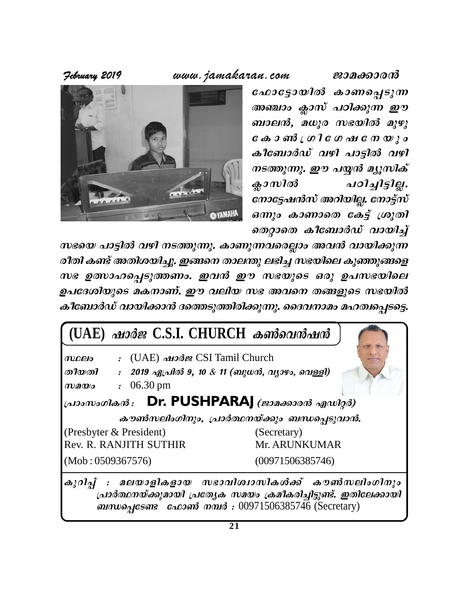**February 2019** www.jamakaran.com **Pma¡mc³**



പോട്ടോയിൽ കാണപ്പെടുന്ന അഞ്ചാം ക്ലാസ് പഠിക്കുന്ന ഈ ബാലൻ, മധുര സഭയിൽ മുഴു t I m ¬ { K n t K j t \ b p w ഫോട്ടോയിത കാണപ്പെടുന്ന<br>അഞ്ചാം ക്ലാസ് പഠിക്കുന്ന ഈ<br>ബാലൻ, മധുര സഭയിൽ മുഴു<br>കോൺ ഗ്രി ഗേഷ നേയും<br>കീബോർഡ് വഴി പാട്ടിൽ വഴി<br>നടത്തുന്നു. ഈ പയ്യൻ മ്യൂസിക്<br>ക്ലാസിൽ പഠിച്ചിട്ടില്ല. നടത്തുന്നു. ഈ പയ്യൻ മ്യൂസിക് ബാലന്ദ, മധുര സഭയിത മുഴു<br>കോ ൺ ഗ്രി ഗേഷ നേയും<br>കീബോർഡ് വഴി പാട്ടിൽ വഴി<br>നടത്തുന്നു. ഈ പയ്യൻ മ്യൂസിക്<br>ക്ലാസിൽ പഠിച്ചിട്ടില്ല.<br>നോട്ടേഷൻസ് അറിയില്ല. നോട്ട്സ്<br>ഒന്നും കാണാതെ കേട്ട് ശ്രുതി നോട്ടേഷൻസ് അറിയില്ല. നോട്ട്സ് കിബോര്ഡ വഴി പാട്ടിൽ വഴി<br>നടത്തുന്നു. ഈ പയ്യൻ മ്യൂസിക്<br>ക്ലാസിൽ പഠിച്ചിട്ടില്ല.<br>നോട്ടേഷൻസ് അറിയില്ല. നോട്ട്സ്<br>ഒന്നും കാണാതെ കേട്ട് ശ്രുതി<br>തെറ്റാതെ കീബോർഡ് വായിച്ച്<br>നവരെല്ലാം അവൻ വായിക്കുന്ന sXämsX Iot\_mÀU v hmbn¨v coXn Iv AXnibn¨p. C§s\ Xme´p e`n¨ k`bnse Ipªp§sf

സഭയെ പാട്ടിൽ വഴി നടത്തുന്നു. കാണുന്നവരെല്ലാം അവൻ വായിക്കുന്ന സഭ ഉത്സാഹപ്പെടുത്തണം. ഇവൻ ഈ സഭയുടെ ഒരു ഉപസഭയിലെ ഉപദേശിയുടെ മകനാണ്. ഈ വലിയ സഭ അവനെ തങ്ങളുടെ സഭയിൽ കീബോർഡ് വായിക്കാൻ ദത്തെടുത്തിരിക്കുന്നു. ദൈവനാമം മഹത്വപ്പെടട്ടെ.



 $[$ പാർത്ഥനയ്ക്കുമായി പ്രത്യേക സമയം ക്രമീകരിച്ചിട്ടുണ്ട്. ഇതിലേക്കായി **@**Dinumanus **and \$** *Ostats Ostats Contrary Contrary Contrary Contrary Contrary Contrary Contrary Contrary Contrary Contrary*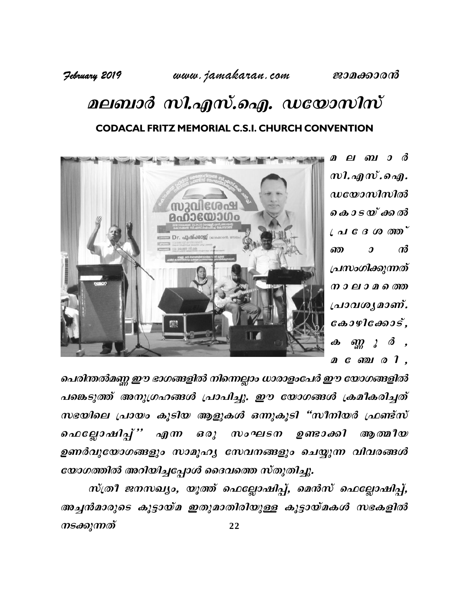February 2019

### www.jamakaran.com

# മലബാർ സി.എസ്.ഐ. ഡയോസിസ് **CODACAL FRITZ MEMORIAL C.S.I. CHURCH CONVENTION**



മലബാർ  $m$ l.  $\Delta q$   $m$ .  $\partial \Delta q$ .  $\boldsymbol{u}$ യോസിസിൽ കൊടയ്ക്കൽ  $($   $\triangleleft$   $C \triangleleft CO \ 000$  $\omega$ ண  $\boldsymbol{\mathcal{D}}$ പ്രസംഗിക്കുന്നത് നാലാമത്തെ പ്രാവശൃമാണ്.  $\cos\theta$  $\lim_{m \to \infty}$   $\lim_{n \to \infty}$   $\frac{3}{2}$   $\lim_{n \to \infty}$  $\boldsymbol{\theta}$ മണോഗി,

പെരിന്തൽമണ്ണ ഈ ഭാഗങ്ങളിൽ നിന്നെല്ലാം ധാരാളംപേർ ഈ യോഗങ്ങളിൽ പങ്കെടുത്ത് അനുഗ്രഹങ്ങൾ പ്രാപിച്ചു. ഈ യോഗങ്ങൾ ക്രമീകരിച്ചത് സഭയിലെ പ്രായം കൂടിയ ആളുകൾ ഒന്നുകൂടി "സീനിയർ ഫ്രണ്ട്സ് ഫെല്ലോഷിപ്പ്'' എന്ന ഒരു സംഘടന ഉണ്ടാക്കി ആ ത്മി $\bm{w}$ ഉണർവുയോഗങ്ങളും സാമൂഹ്യ സേവനങ്ങളും ചെയ്യുന്ന വിവരങ്ങൾ യോഗത്തിൽ അറിയിച്ചപ്പോൾ ദൈവത്തെ സ്തുതിച്ചു.

സ്ത്രീ ജനസഖ്യം, യൂത്ത് ഫെല്ലോഷിപ്പ്, മെൻസ് ഫെല്ലോഷിപ്പ്, അച്ചൻമാരുടെ കൂട്ടായ്മ ഇതുമാതിരിയുള്ള കൂട്ടായ്മകൾ സഭകളിൽ നടക്കുന്നത് 22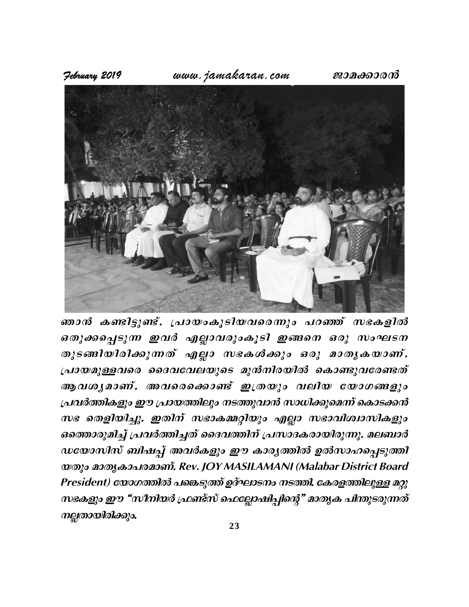www.jamakaran.com

ജാമക്കാരൻ



ഞാൻ കണ്ടിട്ടുണ്ട്. പ്രായംകൂടിയവരെന്നും പറഞ്ഞ് സഭകളിൽ ഒതുക്കപ്പെടുന്ന ഇവർ എല്ലാവരുംകൂടി ഇങ്ങനെ ഒരു സംഘടന തുടങ്ങിയിരിക്കുന്നത് എല്ലാ സഭകൾക്കും ഒരു മാതൃകയാണ്. പ്രായമുള്ളവരെ ദൈവവേലയുടെ മുൻനിരയിൽ കൊണ്ടുവരേണ്ടത് ആവശൃമാണ്. അവരെക്കൊണ്ട് ഇത്രയും വലിയ യോഗങ്ങളും പ്രവർത്തികളും ഈ പ്രായത്തിലും നടത്തുവാൻ സാധിക്കുമെന്ന് കൊടക്കൻ സഭ തെളിയിച്ചു. ഇതിന് സഭാകമ്മറ്റിയും എല്ലാ സഭാവിശ്വാസികളും ഒത്തൊരുമിച്ച് പ്രവർത്തിച്ചത് ദൈവത്തിന് പ്രസാദകരായിരുന്നു. മലബാർ ഡയോസിസ് ബിഷപ്പ് അവർകളും ഈ കാര്യത്തിൽ ഉൽസാഹപ്പെടുത്തി യതും മാതൃകാപരമാണ്. Rev. JOY MASILAMANI (Malabar District Board President) യോഗത്തിൽ പങ്കെടുത്ത് ഉദ്ഘാടനം നടത്തി. കേരളത്തിലുള്ള മറ്റു സഭകളും ഈ "സീനിയർ ഫ്രണ്ട്സ് ഫെല്ലോഷിപ്പിന്റെ" മാതൃക പിന്തുടരുന്നത് നല്ലതായിരിക്കും.